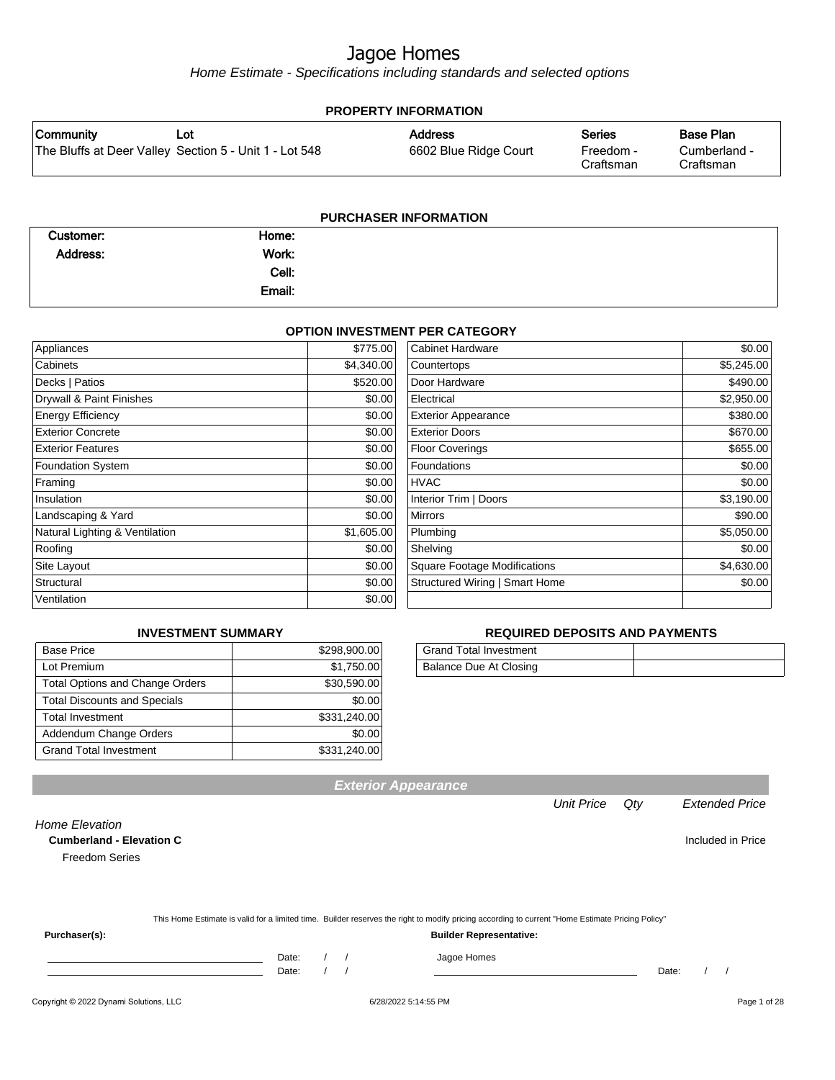Home Estimate - Specifications including standards and selected options

| <b>PROPERTY INFORMATION</b> |                                                        |                       |                        |                           |
|-----------------------------|--------------------------------------------------------|-----------------------|------------------------|---------------------------|
| Community                   | Lot                                                    | <b>Address</b>        | <b>Series</b>          | Base Plan                 |
|                             | The Bluffs at Deer Valley Section 5 - Unit 1 - Lot 548 | 6602 Blue Ridge Court | Freedom -<br>Craftsman | Cumberland -<br>Craftsman |
|                             |                                                        |                       |                        |                           |

| <b>PURCHASER INFORMATION</b> |        |  |  |
|------------------------------|--------|--|--|
| Customer:                    | Home:  |  |  |
| Address:                     | Work:  |  |  |
|                              | Cell:  |  |  |
|                              | Email: |  |  |
|                              |        |  |  |

#### **OPTION INVESTMENT PER CATEGORY**

| Appliances                     | \$775.00   | <b>Cabinet Hardware</b>             | \$0.00     |
|--------------------------------|------------|-------------------------------------|------------|
| Cabinets                       | \$4,340.00 | Countertops                         | \$5,245.00 |
| Decks   Patios                 | \$520.00   | Door Hardware                       | \$490.00   |
| Drywall & Paint Finishes       | \$0.00     | Electrical                          | \$2,950.00 |
| <b>Energy Efficiency</b>       | \$0.00     | <b>Exterior Appearance</b>          | \$380.00   |
| <b>Exterior Concrete</b>       | \$0.00     | <b>Exterior Doors</b>               | \$670.00   |
| <b>Exterior Features</b>       | \$0.00     | <b>Floor Coverings</b>              | \$655.00   |
| <b>Foundation System</b>       | \$0.00     | Foundations                         | \$0.00     |
| Framing                        | \$0.00     | <b>HVAC</b>                         | \$0.00     |
| Insulation                     | \$0.00     | Interior Trim   Doors               | \$3,190.00 |
| Landscaping & Yard             | \$0.00     | <b>Mirrors</b>                      | \$90.00    |
| Natural Lighting & Ventilation | \$1,605.00 | Plumbing                            | \$5,050.00 |
| Roofing                        | \$0.00     | Shelving                            | \$0.00     |
| Site Layout                    | \$0.00     | <b>Square Footage Modifications</b> | \$4,630.00 |
| Structural                     | \$0.00     | Structured Wiring   Smart Home      | \$0.00     |
| Ventilation                    | \$0.00     |                                     |            |

#### **INVESTMENT SUMMARY**

| <b>Base Price</b>                      | \$298,900.00 |
|----------------------------------------|--------------|
| Lot Premium                            | \$1,750.00   |
| <b>Total Options and Change Orders</b> | \$30,590.00  |
| <b>Total Discounts and Specials</b>    | \$0.00       |
| <b>Total Investment</b>                | \$331,240.00 |
| Addendum Change Orders                 | \$0.00       |
| <b>Grand Total Investment</b>          | \$331,240.00 |

#### **REQUIRED DEPOSITS AND PAYMENTS**

| Grand Total Investment |  |
|------------------------|--|
| Balance Due At Closing |  |

| vullivuliuliu Liutuliuli v |                                                                                                                                                  |
|----------------------------|--------------------------------------------------------------------------------------------------------------------------------------------------|
| <b>Freedom Series</b>      |                                                                                                                                                  |
|                            |                                                                                                                                                  |
|                            | This Home Estimate is valid for a limited time. Builder reserves the right to modify pricing according to current "Home Estimate Pricing Policy" |
| Purchaser(s):              | <b>Builder Representative:</b>                                                                                                                   |

Date: / / Date: / /

Unit Price Qty Extended Price

**Exterior Appearance**

Copyright © 2022 Dynami Solutions, LLC <br>
6/28/2022 5:14:55 PM **6/28/2022 5:14:55 PM** 

Home Elevation **Cumberland - Elevation C C C Included in Price**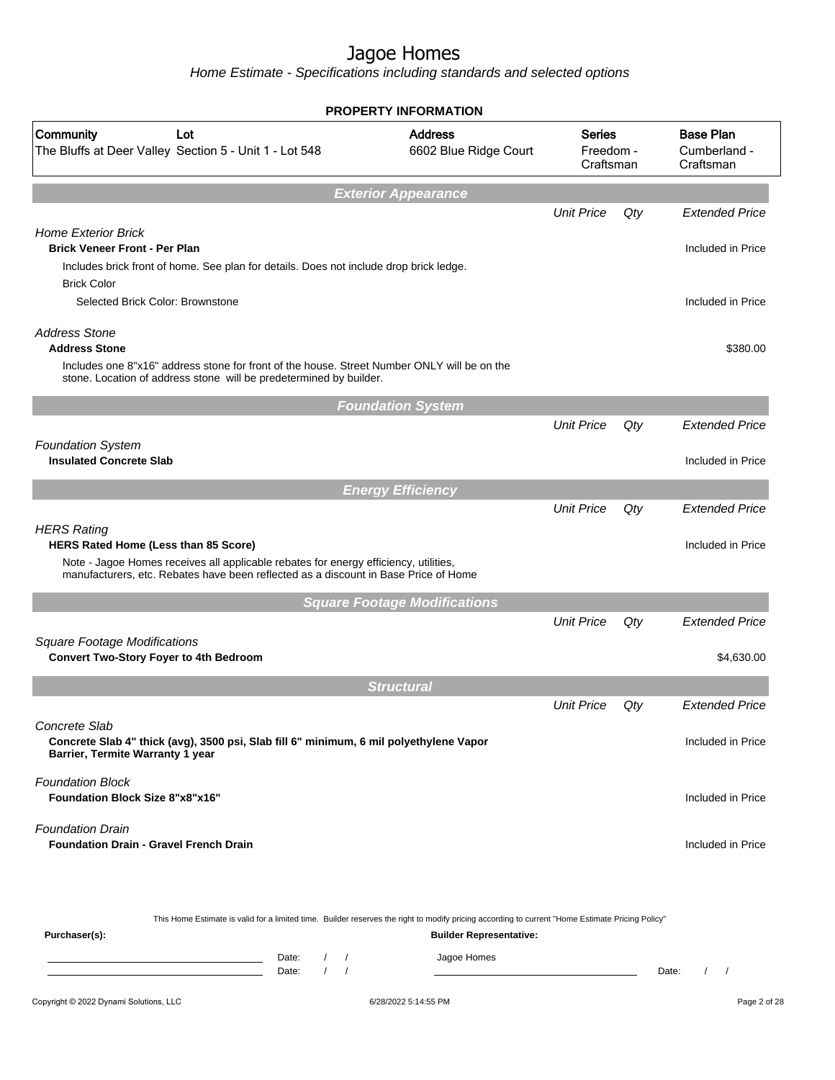|                                                                                                                                                                                                                   | <b>PROPERTY INFORMATION</b>                                                                                                                      |                                         |       |                                               |
|-------------------------------------------------------------------------------------------------------------------------------------------------------------------------------------------------------------------|--------------------------------------------------------------------------------------------------------------------------------------------------|-----------------------------------------|-------|-----------------------------------------------|
| <b>Community</b><br>Lot<br>The Bluffs at Deer Valley Section 5 - Unit 1 - Lot 548                                                                                                                                 | <b>Address</b><br>6602 Blue Ridge Court                                                                                                          | <b>Series</b><br>Freedom -<br>Craftsman |       | <b>Base Plan</b><br>Cumberland -<br>Craftsman |
|                                                                                                                                                                                                                   | <b>Exterior Appearance</b>                                                                                                                       |                                         |       |                                               |
|                                                                                                                                                                                                                   |                                                                                                                                                  | <b>Unit Price</b>                       | Qty   | <b>Extended Price</b>                         |
| <b>Home Exterior Brick</b><br><b>Brick Veneer Front - Per Plan</b>                                                                                                                                                |                                                                                                                                                  |                                         |       | Included in Price                             |
| Includes brick front of home. See plan for details. Does not include drop brick ledge.<br><b>Brick Color</b>                                                                                                      |                                                                                                                                                  |                                         |       |                                               |
| Selected Brick Color: Brownstone                                                                                                                                                                                  |                                                                                                                                                  |                                         |       | Included in Price                             |
| <b>Address Stone</b><br><b>Address Stone</b><br>Includes one 8"x16" address stone for front of the house. Street Number ONLY will be on the<br>stone. Location of address stone will be predetermined by builder. |                                                                                                                                                  |                                         |       | \$380.00                                      |
|                                                                                                                                                                                                                   | <b>Foundation System</b>                                                                                                                         |                                         |       |                                               |
|                                                                                                                                                                                                                   |                                                                                                                                                  | <b>Unit Price</b>                       | Qty   | <b>Extended Price</b>                         |
| <b>Foundation System</b><br><b>Insulated Concrete Slab</b>                                                                                                                                                        |                                                                                                                                                  |                                         |       | Included in Price                             |
|                                                                                                                                                                                                                   |                                                                                                                                                  |                                         |       |                                               |
|                                                                                                                                                                                                                   | <b>Energy Efficiency</b>                                                                                                                         |                                         |       |                                               |
|                                                                                                                                                                                                                   |                                                                                                                                                  | <b>Unit Price</b>                       | Qty   | <b>Extended Price</b>                         |
| <b>HERS Rating</b><br>HERS Rated Home (Less than 85 Score)                                                                                                                                                        |                                                                                                                                                  |                                         |       | Included in Price                             |
| Note - Jagoe Homes receives all applicable rebates for energy efficiency, utilities,<br>manufacturers, etc. Rebates have been reflected as a discount in Base Price of Home                                       |                                                                                                                                                  |                                         |       |                                               |
|                                                                                                                                                                                                                   | <b>Square Footage Modifications</b>                                                                                                              |                                         |       |                                               |
|                                                                                                                                                                                                                   |                                                                                                                                                  | <b>Unit Price</b>                       | Qty   | <b>Extended Price</b>                         |
| <b>Square Footage Modifications</b><br><b>Convert Two-Story Foyer to 4th Bedroom</b>                                                                                                                              |                                                                                                                                                  |                                         |       | \$4,630.00                                    |
|                                                                                                                                                                                                                   | <b>Structural</b>                                                                                                                                |                                         |       |                                               |
|                                                                                                                                                                                                                   |                                                                                                                                                  | <b>Unit Price</b>                       | Qty   | <b>Extended Price</b>                         |
| Concrete Slab<br>Concrete Slab 4" thick (avg), 3500 psi, Slab fill 6" minimum, 6 mil polyethylene Vapor<br>Barrier, Termite Warranty 1 year                                                                       |                                                                                                                                                  |                                         |       | Included in Price                             |
|                                                                                                                                                                                                                   |                                                                                                                                                  |                                         |       |                                               |
| <b>Foundation Block</b><br><b>Foundation Block Size 8"x8"x16"</b>                                                                                                                                                 |                                                                                                                                                  |                                         |       | Included in Price                             |
| <b>Foundation Drain</b><br><b>Foundation Drain - Gravel French Drain</b>                                                                                                                                          |                                                                                                                                                  |                                         |       | Included in Price                             |
|                                                                                                                                                                                                                   | This Home Estimate is valid for a limited time. Builder reserves the right to modify pricing according to current "Home Estimate Pricing Policy" |                                         |       |                                               |
| Purchaser(s):                                                                                                                                                                                                     | <b>Builder Representative:</b>                                                                                                                   |                                         |       |                                               |
| Date:<br>$\sqrt{2}$<br>$\sqrt{ }$<br>Date:<br>$\prime$                                                                                                                                                            | Jagoe Homes                                                                                                                                      |                                         | Date: | $\left  \right $                              |
|                                                                                                                                                                                                                   |                                                                                                                                                  |                                         |       |                                               |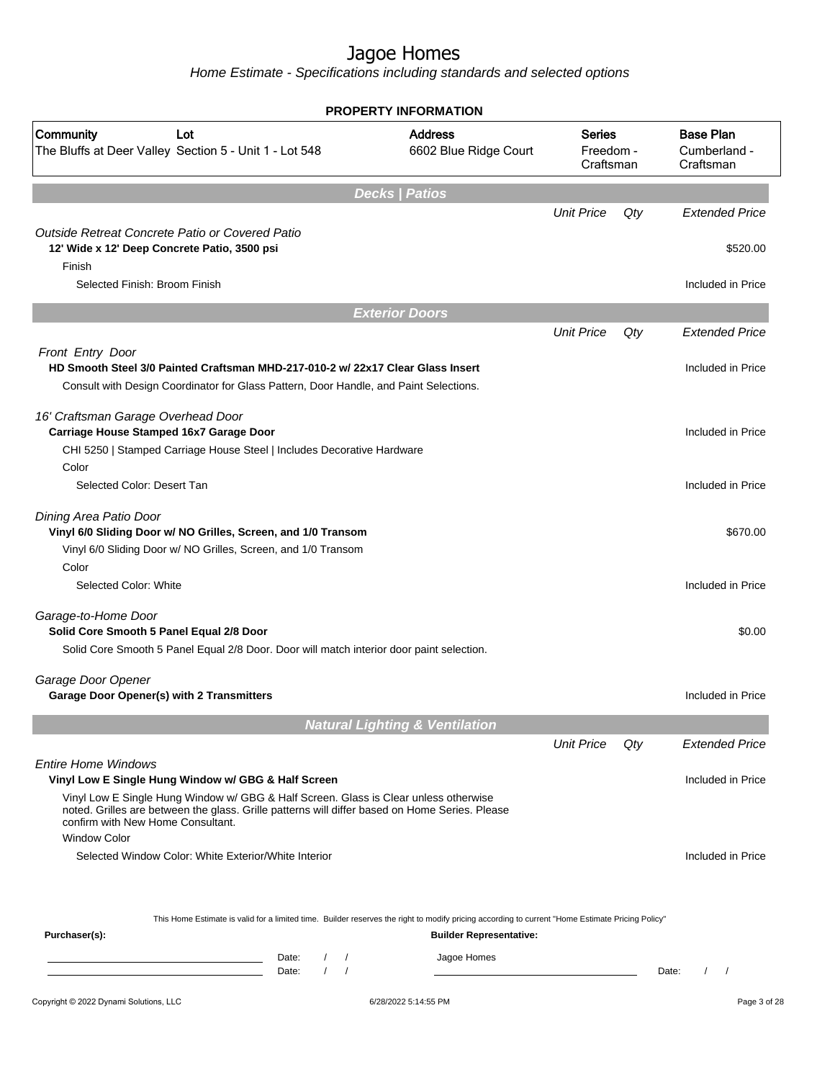|                                                                                                                                                                                                                             | <b>PROPERTY INFORMATION</b>                   |                                         |     |                                               |
|-----------------------------------------------------------------------------------------------------------------------------------------------------------------------------------------------------------------------------|-----------------------------------------------|-----------------------------------------|-----|-----------------------------------------------|
| Community<br>Lot<br>The Bluffs at Deer Valley Section 5 - Unit 1 - Lot 548                                                                                                                                                  | <b>Address</b><br>6602 Blue Ridge Court       | <b>Series</b><br>Freedom -<br>Craftsman |     | <b>Base Plan</b><br>Cumberland -<br>Craftsman |
|                                                                                                                                                                                                                             | <b>Decks   Patios</b>                         |                                         |     |                                               |
|                                                                                                                                                                                                                             |                                               | <b>Unit Price</b>                       | Qty | <b>Extended Price</b>                         |
| Outside Retreat Concrete Patio or Covered Patio<br>12' Wide x 12' Deep Concrete Patio, 3500 psi<br>Finish                                                                                                                   |                                               |                                         |     | \$520.00                                      |
| Selected Finish: Broom Finish                                                                                                                                                                                               |                                               |                                         |     | Included in Price                             |
|                                                                                                                                                                                                                             | <b>Exterior Doors</b>                         |                                         |     |                                               |
|                                                                                                                                                                                                                             |                                               | <b>Unit Price</b>                       | Qty | <b>Extended Price</b>                         |
| Front Entry Door<br>HD Smooth Steel 3/0 Painted Craftsman MHD-217-010-2 w/ 22x17 Clear Glass Insert                                                                                                                         |                                               |                                         |     | Included in Price                             |
| Consult with Design Coordinator for Glass Pattern, Door Handle, and Paint Selections.                                                                                                                                       |                                               |                                         |     |                                               |
| 16' Craftsman Garage Overhead Door<br>Carriage House Stamped 16x7 Garage Door                                                                                                                                               |                                               |                                         |     | Included in Price                             |
| CHI 5250   Stamped Carriage House Steel   Includes Decorative Hardware<br>Color                                                                                                                                             |                                               |                                         |     |                                               |
| Selected Color: Desert Tan                                                                                                                                                                                                  |                                               |                                         |     | Included in Price                             |
| Dining Area Patio Door<br>Vinyl 6/0 Sliding Door w/ NO Grilles, Screen, and 1/0 Transom<br>Vinyl 6/0 Sliding Door w/ NO Grilles, Screen, and 1/0 Transom                                                                    |                                               |                                         |     | \$670.00                                      |
| Color<br>Selected Color: White                                                                                                                                                                                              |                                               |                                         |     | Included in Price                             |
| Garage-to-Home Door<br>Solid Core Smooth 5 Panel Equal 2/8 Door                                                                                                                                                             |                                               |                                         |     | \$0.00                                        |
| Solid Core Smooth 5 Panel Equal 2/8 Door. Door will match interior door paint selection.                                                                                                                                    |                                               |                                         |     |                                               |
| Garage Door Opener<br>Garage Door Opener(s) with 2 Transmitters                                                                                                                                                             |                                               |                                         |     | Included in Price                             |
|                                                                                                                                                                                                                             |                                               |                                         |     |                                               |
|                                                                                                                                                                                                                             | <b>Natural Lighting &amp; Ventilation</b>     |                                         |     |                                               |
| <b>Entire Home Windows</b><br>Vinyl Low E Single Hung Window w/ GBG & Half Screen                                                                                                                                           |                                               | <b>Unit Price</b>                       | Qty | <b>Extended Price</b><br>Included in Price    |
| Vinyl Low E Single Hung Window w/ GBG & Half Screen. Glass is Clear unless otherwise<br>noted. Grilles are between the glass. Grille patterns will differ based on Home Series. Please<br>confirm with New Home Consultant. |                                               |                                         |     |                                               |
| <b>Window Color</b>                                                                                                                                                                                                         |                                               |                                         |     |                                               |
| Selected Window Color: White Exterior/White Interior                                                                                                                                                                        |                                               |                                         |     | Included in Price                             |
| This Home Estimate is valid for a limited time. Builder reserves the right to modify pricing according to current "Home Estimate Pricing Policy"                                                                            |                                               |                                         |     |                                               |
| Purchaser(s):<br>Date:<br>$\sqrt{ }$                                                                                                                                                                                        | <b>Builder Representative:</b><br>Jagoe Homes |                                         |     |                                               |
| Date:                                                                                                                                                                                                                       |                                               |                                         |     | Date:<br>$\sqrt{2}$                           |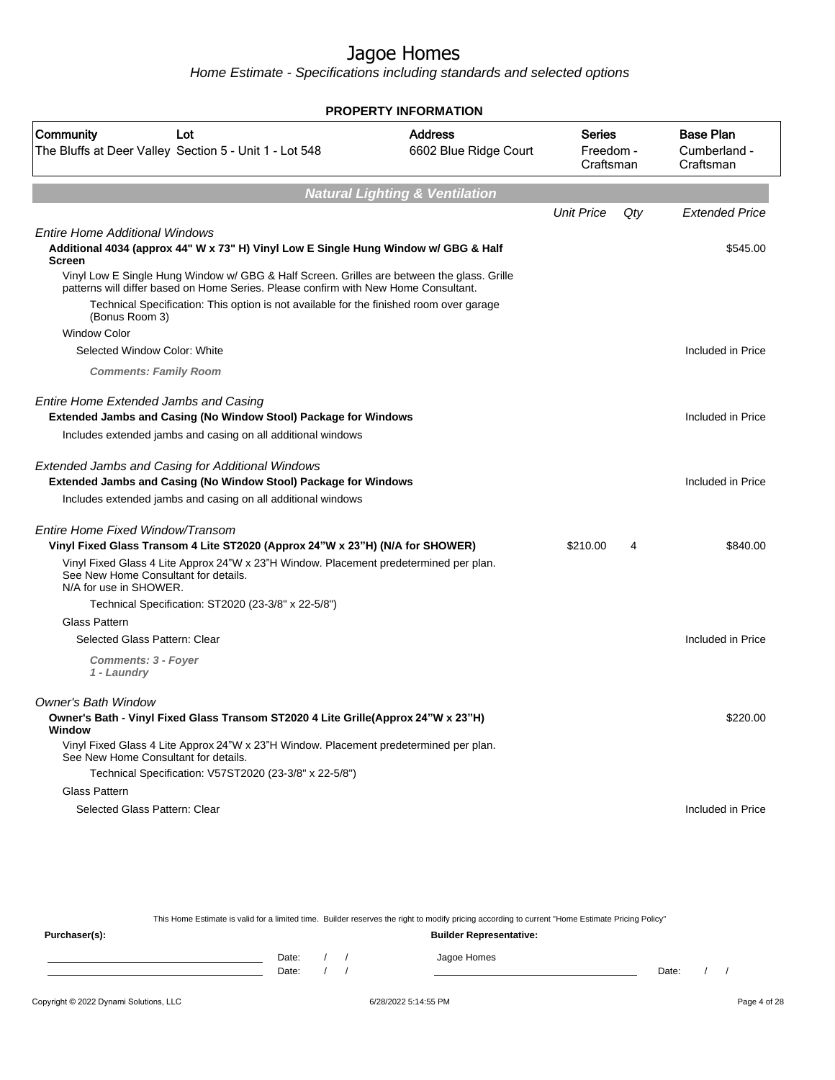Home Estimate - Specifications including standards and selected options

|                                                                                                                                                                                                                                                                                                                       | <b>PROPERTY INFORMATION</b>               |                                  |     |                                               |
|-----------------------------------------------------------------------------------------------------------------------------------------------------------------------------------------------------------------------------------------------------------------------------------------------------------------------|-------------------------------------------|----------------------------------|-----|-----------------------------------------------|
| Community<br>Lot<br>The Bluffs at Deer Valley Section 5 - Unit 1 - Lot 548                                                                                                                                                                                                                                            | <b>Address</b><br>6602 Blue Ridge Court   | Series<br>Freedom -<br>Craftsman |     | <b>Base Plan</b><br>Cumberland -<br>Craftsman |
|                                                                                                                                                                                                                                                                                                                       | <b>Natural Lighting &amp; Ventilation</b> |                                  |     |                                               |
|                                                                                                                                                                                                                                                                                                                       |                                           | <b>Unit Price</b>                | Qty | <b>Extended Price</b>                         |
| Entire Home Additional Windows<br>Additional 4034 (approx 44" W x 73" H) Vinyl Low E Single Hung Window w/ GBG & Half<br>Screen                                                                                                                                                                                       |                                           |                                  |     | \$545.00                                      |
| Vinyl Low E Single Hung Window w/ GBG & Half Screen. Grilles are between the glass. Grille<br>patterns will differ based on Home Series. Please confirm with New Home Consultant.<br>Technical Specification: This option is not available for the finished room over garage<br>(Bonus Room 3)<br><b>Window Color</b> |                                           |                                  |     |                                               |
| Selected Window Color: White                                                                                                                                                                                                                                                                                          |                                           |                                  |     | Included in Price                             |
| <b>Comments: Family Room</b>                                                                                                                                                                                                                                                                                          |                                           |                                  |     |                                               |
| Entire Home Extended Jambs and Casing<br>Extended Jambs and Casing (No Window Stool) Package for Windows                                                                                                                                                                                                              |                                           |                                  |     | Included in Price                             |
| Includes extended jambs and casing on all additional windows                                                                                                                                                                                                                                                          |                                           |                                  |     |                                               |
| <b>Extended Jambs and Casing for Additional Windows</b><br><b>Extended Jambs and Casing (No Window Stool) Package for Windows</b><br>Includes extended jambs and casing on all additional windows                                                                                                                     |                                           |                                  |     | Included in Price                             |
|                                                                                                                                                                                                                                                                                                                       |                                           |                                  |     |                                               |
| Entire Home Fixed Window/Transom<br>Vinyl Fixed Glass Transom 4 Lite ST2020 (Approx 24"W x 23"H) (N/A for SHOWER)                                                                                                                                                                                                     |                                           | \$210.00                         | 4   | \$840.00                                      |
| Vinyl Fixed Glass 4 Lite Approx 24"W x 23"H Window. Placement predetermined per plan.<br>See New Home Consultant for details.<br>N/A for use in SHOWER.                                                                                                                                                               |                                           |                                  |     |                                               |
| Technical Specification: ST2020 (23-3/8" x 22-5/8")                                                                                                                                                                                                                                                                   |                                           |                                  |     |                                               |
| Glass Pattern                                                                                                                                                                                                                                                                                                         |                                           |                                  |     |                                               |
| Selected Glass Pattern: Clear                                                                                                                                                                                                                                                                                         |                                           |                                  |     | Included in Price                             |
| <b>Comments: 3 - Foyer</b><br>1 - Laundry                                                                                                                                                                                                                                                                             |                                           |                                  |     |                                               |
| Owner's Bath Window                                                                                                                                                                                                                                                                                                   |                                           |                                  |     |                                               |
| Owner's Bath - Vinyl Fixed Glass Transom ST2020 4 Lite Grille(Approx 24"W x 23"H)<br>Window                                                                                                                                                                                                                           |                                           |                                  |     | \$220.00                                      |
| Vinyl Fixed Glass 4 Lite Approx 24"W x 23"H Window. Placement predetermined per plan.<br>See New Home Consultant for details.                                                                                                                                                                                         |                                           |                                  |     |                                               |
| Technical Specification: V57ST2020 (23-3/8" x 22-5/8")                                                                                                                                                                                                                                                                |                                           |                                  |     |                                               |
| Glass Pattern                                                                                                                                                                                                                                                                                                         |                                           |                                  |     |                                               |
| Selected Glass Pattern: Clear                                                                                                                                                                                                                                                                                         |                                           |                                  |     | Included in Price                             |

This Home Estimate is valid for a limited time. Builder reserves the right to modify pricing according to current "Home Estimate Pricing Policy"

**Purchaser(s): Builder Representative:** Date: / / Jagoe Homes<br>Date: / / Jagoe Homes Date: / / **Date: / / 2006** Date: / / / Date: / / / Date: / / / 2006 Date: / / / 2006 Date: / / / 2006 Date: / / / 2006 Date: / / / 2007 Date: / / / 2007 Date: / / / 2007 Date: / / / 2007 Date: / / / 2007 Date: / / / 2007 D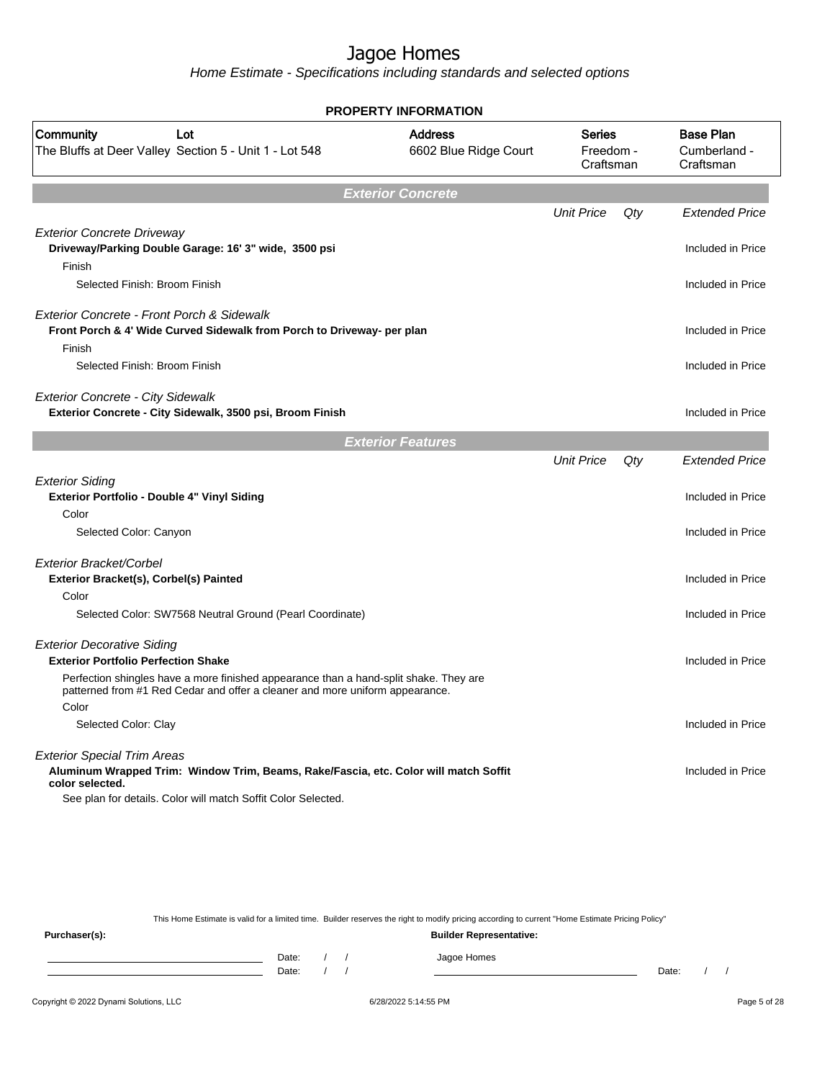Home Estimate - Specifications including standards and selected options

| <b>PROPERTY INFORMATION</b>                                                                                                                                           |                                         |                                         |     |                                               |  |
|-----------------------------------------------------------------------------------------------------------------------------------------------------------------------|-----------------------------------------|-----------------------------------------|-----|-----------------------------------------------|--|
| Community<br>Lot<br>The Bluffs at Deer Valley Section 5 - Unit 1 - Lot 548                                                                                            | <b>Address</b><br>6602 Blue Ridge Court | <b>Series</b><br>Freedom -<br>Craftsman |     | <b>Base Plan</b><br>Cumberland -<br>Craftsman |  |
|                                                                                                                                                                       | <b>Exterior Concrete</b>                |                                         |     |                                               |  |
|                                                                                                                                                                       |                                         | <b>Unit Price</b>                       | Qty | <b>Extended Price</b>                         |  |
| <b>Exterior Concrete Driveway</b><br>Driveway/Parking Double Garage: 16' 3" wide, 3500 psi<br>Finish                                                                  |                                         |                                         |     | Included in Price                             |  |
| Selected Finish: Broom Finish                                                                                                                                         |                                         |                                         |     | Included in Price                             |  |
| Exterior Concrete - Front Porch & Sidewalk<br>Front Porch & 4' Wide Curved Sidewalk from Porch to Driveway- per plan                                                  |                                         |                                         |     | Included in Price                             |  |
| Finish<br>Selected Finish: Broom Finish                                                                                                                               |                                         |                                         |     | Included in Price                             |  |
| <b>Exterior Concrete - City Sidewalk</b><br>Exterior Concrete - City Sidewalk, 3500 psi, Broom Finish                                                                 |                                         |                                         |     | Included in Price                             |  |
|                                                                                                                                                                       | <b>Exterior Features</b>                |                                         |     |                                               |  |
|                                                                                                                                                                       |                                         | <b>Unit Price</b>                       | Qty | <b>Extended Price</b>                         |  |
| <b>Exterior Siding</b><br>Exterior Portfolio - Double 4" Vinyl Siding                                                                                                 |                                         |                                         |     | Included in Price                             |  |
| Color                                                                                                                                                                 |                                         |                                         |     |                                               |  |
| Selected Color: Canyon                                                                                                                                                |                                         |                                         |     | Included in Price                             |  |
| Exterior Bracket/Corbel<br>Exterior Bracket(s), Corbel(s) Painted                                                                                                     |                                         |                                         |     | Included in Price                             |  |
| Color                                                                                                                                                                 |                                         |                                         |     |                                               |  |
| Selected Color: SW7568 Neutral Ground (Pearl Coordinate)                                                                                                              |                                         |                                         |     | Included in Price                             |  |
| <b>Exterior Decorative Siding</b><br><b>Exterior Portfolio Perfection Shake</b>                                                                                       |                                         |                                         |     | Included in Price                             |  |
| Perfection shingles have a more finished appearance than a hand-split shake. They are<br>patterned from #1 Red Cedar and offer a cleaner and more uniform appearance. |                                         |                                         |     |                                               |  |
| Color                                                                                                                                                                 |                                         |                                         |     |                                               |  |
| Selected Color: Clay                                                                                                                                                  |                                         |                                         |     | Included in Price                             |  |
| <b>Exterior Special Trim Areas</b><br>Aluminum Wrapped Trim: Window Trim, Beams, Rake/Fascia, etc. Color will match Soffit<br>color selected.                         |                                         |                                         |     | Included in Price                             |  |
| See plan for details. Color will match Soffit Color Selected.                                                                                                         |                                         |                                         |     |                                               |  |

This Home Estimate is valid for a limited time. Builder reserves the right to modify pricing according to current "Home Estimate Pricing Policy" **Purchaser(s): Builder Representative:** Date: / / Jagoe Homes<br>Date: / / Jagoe Homes Date: / / **Date: / / 2006** Date: / / **Date: / / /** Date: / / /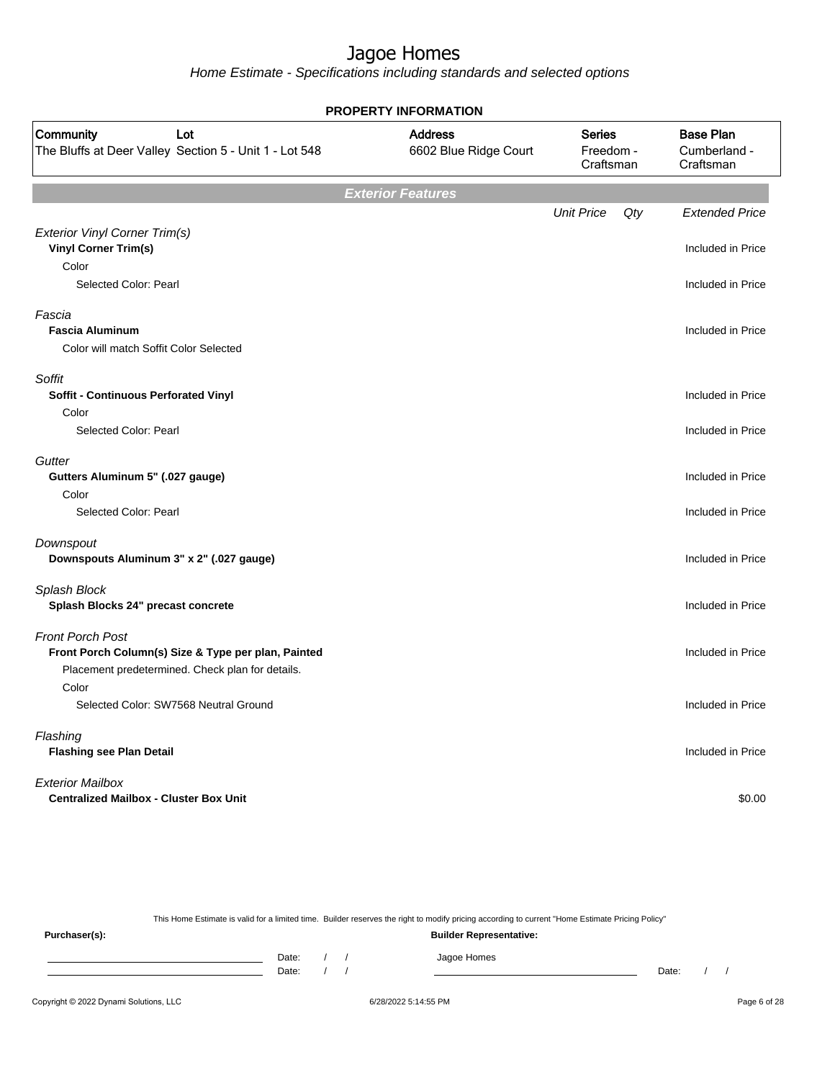Home Estimate - Specifications including standards and selected options

|                                                                                                                                    | PROPERTY INFORMATION                    |                                         |     |                                               |
|------------------------------------------------------------------------------------------------------------------------------------|-----------------------------------------|-----------------------------------------|-----|-----------------------------------------------|
| Community<br>Lot<br>The Bluffs at Deer Valley Section 5 - Unit 1 - Lot 548                                                         | <b>Address</b><br>6602 Blue Ridge Court | <b>Series</b><br>Freedom -<br>Craftsman |     | <b>Base Plan</b><br>Cumberland -<br>Craftsman |
|                                                                                                                                    | <b>Exterior Features</b>                |                                         |     |                                               |
| Exterior Vinyl Corner Trim(s)                                                                                                      |                                         | <b>Unit Price</b>                       | Qty | <b>Extended Price</b>                         |
| <b>Vinyl Corner Trim(s)</b><br>Color<br>Selected Color: Pearl                                                                      |                                         |                                         |     | Included in Price<br>Included in Price        |
| Fascia<br><b>Fascia Aluminum</b><br>Color will match Soffit Color Selected                                                         |                                         |                                         |     | Included in Price                             |
| Soffit<br><b>Soffit - Continuous Perforated Vinyl</b>                                                                              |                                         |                                         |     | Included in Price                             |
| Color<br>Selected Color: Pearl                                                                                                     |                                         |                                         |     | Included in Price                             |
| Gutter<br>Gutters Aluminum 5" (.027 gauge)<br>Color<br>Selected Color: Pearl                                                       |                                         |                                         |     | Included in Price<br>Included in Price        |
| Downspout<br>Downspouts Aluminum 3" x 2" (.027 gauge)                                                                              |                                         |                                         |     | Included in Price                             |
| Splash Block<br>Splash Blocks 24" precast concrete                                                                                 |                                         |                                         |     | Included in Price                             |
| <b>Front Porch Post</b><br>Front Porch Column(s) Size & Type per plan, Painted<br>Placement predetermined. Check plan for details. |                                         |                                         |     | Included in Price                             |
| Color<br>Selected Color: SW7568 Neutral Ground                                                                                     |                                         |                                         |     | Included in Price                             |
| Flashing<br><b>Flashing see Plan Detail</b>                                                                                        |                                         |                                         |     | Included in Price                             |
| <b>Exterior Mailbox</b><br><b>Centralized Mailbox - Cluster Box Unit</b>                                                           |                                         |                                         |     | \$0.00                                        |

This Home Estimate is valid for a limited time. Builder reserves the right to modify pricing according to current "Home Estimate Pricing Policy" **Purchaser(s): Builder Representative:** Date: / / Jagoe Homes<br>Date: / / Jagoe Homes Date: / / **Date: / / 2006** Date: / / / Date: / / / Date: / / / 2006 Date: / / / 2006 Date: / / / 2006 Date: / / / 2006 Date: / / / 2007 Date: / / / 2007 Date: / / / 2007 Date: / / / 2007 Date: / / / 2007 Date: / / / 2007 D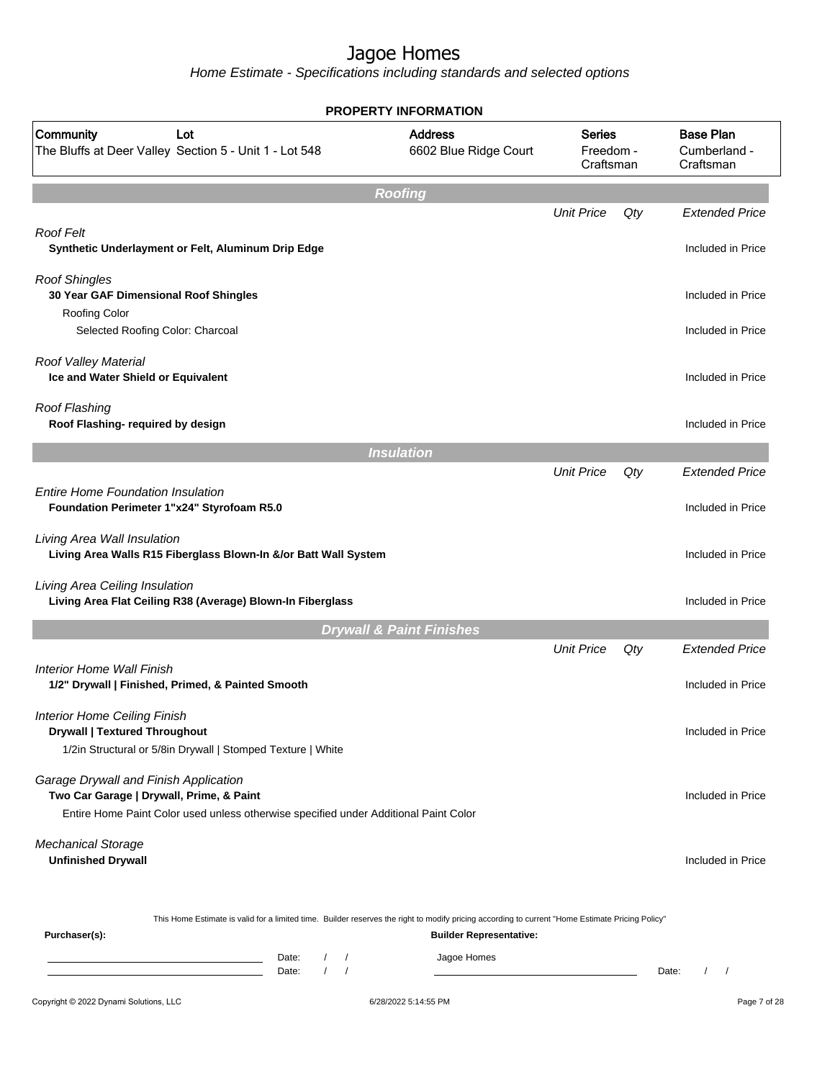|                                                                                                                                                                                         | <b>PROPERTY INFORMATION</b>             |                                         |       |                                               |
|-----------------------------------------------------------------------------------------------------------------------------------------------------------------------------------------|-----------------------------------------|-----------------------------------------|-------|-----------------------------------------------|
| Community<br>Lot<br>The Bluffs at Deer Valley Section 5 - Unit 1 - Lot 548                                                                                                              | <b>Address</b><br>6602 Blue Ridge Court | <b>Series</b><br>Freedom -<br>Craftsman |       | <b>Base Plan</b><br>Cumberland -<br>Craftsman |
|                                                                                                                                                                                         | <b>Roofing</b>                          |                                         |       |                                               |
| Roof Felt<br>Synthetic Underlayment or Felt, Aluminum Drip Edge                                                                                                                         |                                         | <b>Unit Price</b>                       | Qty   | <b>Extended Price</b><br>Included in Price    |
| <b>Roof Shingles</b><br>30 Year GAF Dimensional Roof Shingles<br>Roofing Color                                                                                                          |                                         |                                         |       | Included in Price                             |
| Selected Roofing Color: Charcoal                                                                                                                                                        |                                         |                                         |       | Included in Price                             |
| Roof Valley Material<br>Ice and Water Shield or Equivalent                                                                                                                              |                                         |                                         |       | Included in Price                             |
| <b>Roof Flashing</b><br>Roof Flashing- required by design                                                                                                                               |                                         |                                         |       | Included in Price                             |
|                                                                                                                                                                                         | <b>Insulation</b>                       |                                         |       |                                               |
|                                                                                                                                                                                         |                                         | <b>Unit Price</b>                       | Qty   | <b>Extended Price</b>                         |
| <b>Entire Home Foundation Insulation</b><br>Foundation Perimeter 1"x24" Styrofoam R5.0                                                                                                  |                                         |                                         |       | Included in Price                             |
| Living Area Wall Insulation<br>Living Area Walls R15 Fiberglass Blown-In &/or Batt Wall System                                                                                          |                                         |                                         |       | Included in Price                             |
| Living Area Ceiling Insulation<br>Living Area Flat Ceiling R38 (Average) Blown-In Fiberglass                                                                                            |                                         |                                         |       | Included in Price                             |
|                                                                                                                                                                                         | <b>Drywall &amp; Paint Finishes</b>     |                                         |       |                                               |
|                                                                                                                                                                                         |                                         | <b>Unit Price</b>                       | Qty   | <b>Extended Price</b>                         |
| Interior Home Wall Finish<br>1/2" Drywall   Finished, Primed, & Painted Smooth                                                                                                          |                                         |                                         |       | Included in Price                             |
| <b>Interior Home Ceiling Finish</b><br><b>Drywall   Textured Throughout</b><br>1/2in Structural or 5/8in Drywall   Stomped Texture   White                                              |                                         |                                         |       | Included in Price                             |
| Garage Drywall and Finish Application<br>Two Car Garage   Drywall, Prime, & Paint<br>Entire Home Paint Color used unless otherwise specified under Additional Paint Color               |                                         |                                         |       | Included in Price                             |
| <b>Mechanical Storage</b><br><b>Unfinished Drywall</b>                                                                                                                                  |                                         |                                         |       | Included in Price                             |
| This Home Estimate is valid for a limited time. Builder reserves the right to modify pricing according to current "Home Estimate Pricing Policy"<br>Purchaser(s):                       | <b>Builder Representative:</b>          |                                         |       |                                               |
| Date:<br>$\sqrt{2}$<br>$\prime$<br><u> 1989 - Johann Barn, mars et al. (b. 1989)</u><br>$\sqrt{ }$<br>$\sqrt{2}$<br><u> 1989 - Johann Barn, mars ann an t-Amhair ann an t-</u><br>Date: | Jagoe Homes                             |                                         | Date: | $\prime$<br>$\prime$                          |
| Copyright © 2022 Dynami Solutions, LLC                                                                                                                                                  | 6/28/2022 5:14:55 PM                    |                                         |       | Page 7 of 28                                  |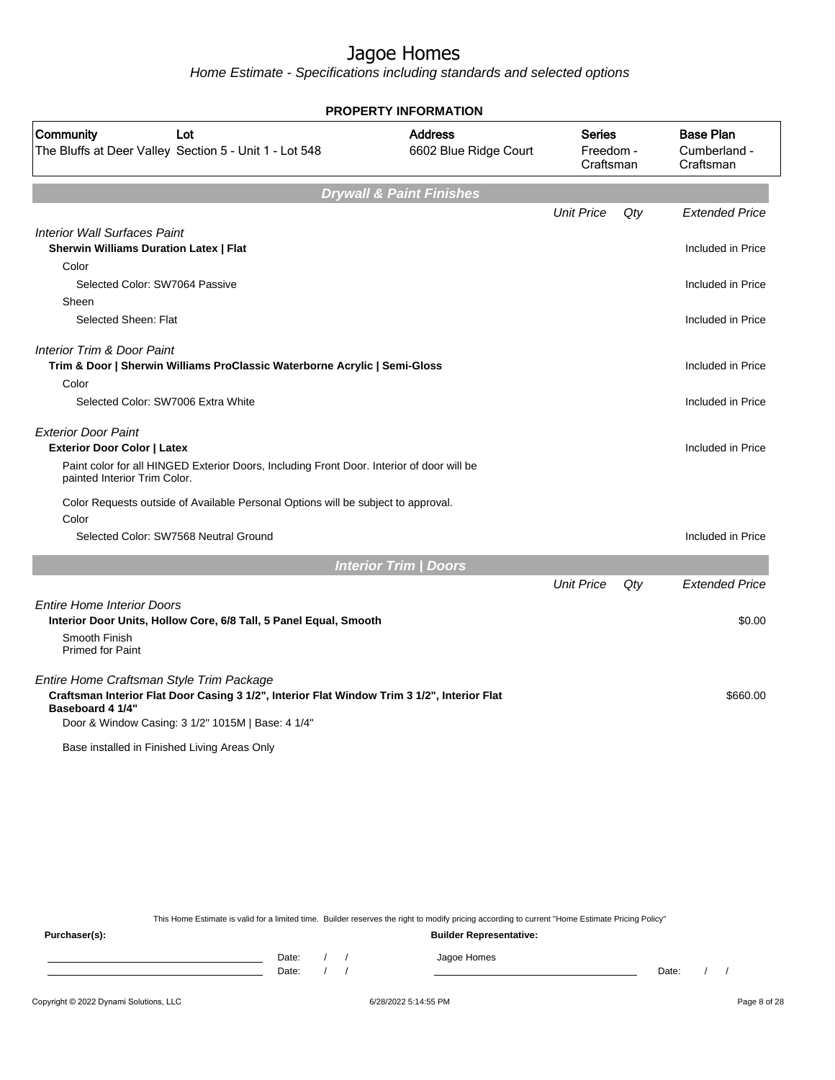Home Estimate - Specifications including standards and selected options

|                                                                                                                                                                                                                  | <b>PROPERTY INFORMATION</b>             |                                         |     |                                               |
|------------------------------------------------------------------------------------------------------------------------------------------------------------------------------------------------------------------|-----------------------------------------|-----------------------------------------|-----|-----------------------------------------------|
| <b>Community</b><br>Lot<br>The Bluffs at Deer Valley Section 5 - Unit 1 - Lot 548                                                                                                                                | <b>Address</b><br>6602 Blue Ridge Court | <b>Series</b><br>Freedom -<br>Craftsman |     | <b>Base Plan</b><br>Cumberland -<br>Craftsman |
|                                                                                                                                                                                                                  | <b>Drywall &amp; Paint Finishes</b>     |                                         |     |                                               |
|                                                                                                                                                                                                                  |                                         | <b>Unit Price</b>                       | Qty | <b>Extended Price</b>                         |
| <b>Interior Wall Surfaces Paint</b><br><b>Sherwin Williams Duration Latex   Flat</b>                                                                                                                             |                                         |                                         |     | Included in Price                             |
| Color                                                                                                                                                                                                            |                                         |                                         |     |                                               |
| Selected Color: SW7064 Passive                                                                                                                                                                                   |                                         |                                         |     | Included in Price                             |
| Sheen                                                                                                                                                                                                            |                                         |                                         |     |                                               |
| Selected Sheen: Flat                                                                                                                                                                                             |                                         |                                         |     | Included in Price                             |
| <b>Interior Trim &amp; Door Paint</b><br>Trim & Door   Sherwin Williams ProClassic Waterborne Acrylic   Semi-Gloss                                                                                               |                                         |                                         |     | Included in Price                             |
| Color                                                                                                                                                                                                            |                                         |                                         |     |                                               |
| Selected Color: SW7006 Extra White                                                                                                                                                                               |                                         |                                         |     | Included in Price                             |
| <b>Exterior Door Paint</b><br><b>Exterior Door Color   Latex</b>                                                                                                                                                 |                                         |                                         |     | Included in Price                             |
| Paint color for all HINGED Exterior Doors, Including Front Door. Interior of door will be<br>painted Interior Trim Color.                                                                                        |                                         |                                         |     |                                               |
| Color Requests outside of Available Personal Options will be subject to approval.                                                                                                                                |                                         |                                         |     |                                               |
| Color                                                                                                                                                                                                            |                                         |                                         |     |                                               |
| Selected Color: SW7568 Neutral Ground                                                                                                                                                                            |                                         |                                         |     | Included in Price                             |
|                                                                                                                                                                                                                  | <b>Interior Trim / Doors</b>            |                                         |     |                                               |
|                                                                                                                                                                                                                  |                                         | <b>Unit Price</b>                       | Qty | <b>Extended Price</b>                         |
| <b>Entire Home Interior Doors</b><br>Interior Door Units, Hollow Core, 6/8 Tall, 5 Panel Equal, Smooth                                                                                                           |                                         |                                         |     | \$0.00                                        |
| Smooth Finish<br><b>Primed for Paint</b>                                                                                                                                                                         |                                         |                                         |     |                                               |
| Entire Home Craftsman Style Trim Package<br>Craftsman Interior Flat Door Casing 3 1/2", Interior Flat Window Trim 3 1/2", Interior Flat<br>Baseboard 4 1/4"<br>Door & Window Casing: 3 1/2" 1015M   Base: 4 1/4" |                                         |                                         |     | \$660.00                                      |
| Base installed in Finished Living Areas Only                                                                                                                                                                     |                                         |                                         |     |                                               |

This Home Estimate is valid for a limited time. Builder reserves the right to modify pricing according to current "Home Estimate Pricing Policy"

**Purchaser(s): Builder Representative:** Date: / / Jagoe Homes<br>Date: / / Jagoe Homes Date: / / **Date: / / 2006** Date: / / / Date: / / /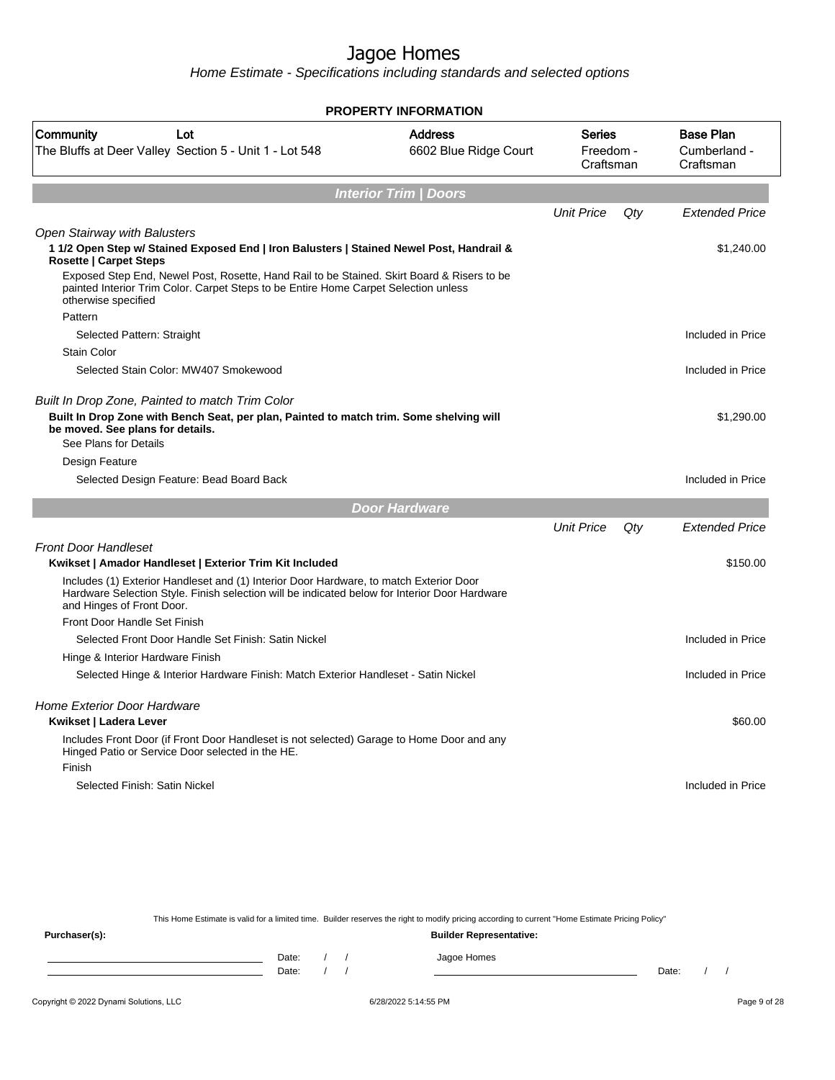Home Estimate - Specifications including standards and selected options

| <b>PROPERTY INFORMATION</b>                                                                                                                                                                                          |                                         |                                         |     |                                               |  |  |  |  |  |  |
|----------------------------------------------------------------------------------------------------------------------------------------------------------------------------------------------------------------------|-----------------------------------------|-----------------------------------------|-----|-----------------------------------------------|--|--|--|--|--|--|
| Community<br>Lot<br>The Bluffs at Deer Valley Section 5 - Unit 1 - Lot 548                                                                                                                                           | <b>Address</b><br>6602 Blue Ridge Court | <b>Series</b><br>Freedom -<br>Craftsman |     | <b>Base Plan</b><br>Cumberland -<br>Craftsman |  |  |  |  |  |  |
| <b>Interior Trim / Doors</b>                                                                                                                                                                                         |                                         |                                         |     |                                               |  |  |  |  |  |  |
|                                                                                                                                                                                                                      |                                         | <b>Unit Price</b>                       | Qty | <b>Extended Price</b>                         |  |  |  |  |  |  |
| <b>Open Stairway with Balusters</b><br>1 1/2 Open Step w/ Stained Exposed End   Iron Balusters   Stained Newel Post, Handrail &<br><b>Rosette   Carpet Steps</b>                                                     |                                         |                                         |     | \$1,240.00                                    |  |  |  |  |  |  |
| Exposed Step End, Newel Post, Rosette, Hand Rail to be Stained. Skirt Board & Risers to be<br>painted Interior Trim Color. Carpet Steps to be Entire Home Carpet Selection unless<br>otherwise specified             |                                         |                                         |     |                                               |  |  |  |  |  |  |
| Pattern                                                                                                                                                                                                              |                                         |                                         |     |                                               |  |  |  |  |  |  |
| Selected Pattern: Straight                                                                                                                                                                                           |                                         |                                         |     | Included in Price                             |  |  |  |  |  |  |
| <b>Stain Color</b>                                                                                                                                                                                                   |                                         |                                         |     |                                               |  |  |  |  |  |  |
| Selected Stain Color: MW407 Smokewood                                                                                                                                                                                |                                         |                                         |     | Included in Price                             |  |  |  |  |  |  |
| Built In Drop Zone, Painted to match Trim Color                                                                                                                                                                      |                                         |                                         |     |                                               |  |  |  |  |  |  |
| Built In Drop Zone with Bench Seat, per plan, Painted to match trim. Some shelving will<br>be moved. See plans for details.                                                                                          |                                         |                                         |     | \$1,290.00                                    |  |  |  |  |  |  |
| See Plans for Details                                                                                                                                                                                                |                                         |                                         |     |                                               |  |  |  |  |  |  |
| Design Feature                                                                                                                                                                                                       |                                         |                                         |     |                                               |  |  |  |  |  |  |
| Selected Design Feature: Bead Board Back                                                                                                                                                                             |                                         |                                         |     | Included in Price                             |  |  |  |  |  |  |
|                                                                                                                                                                                                                      | <b>Door Hardware</b>                    |                                         |     |                                               |  |  |  |  |  |  |
|                                                                                                                                                                                                                      |                                         | <b>Unit Price</b>                       | Qty | <b>Extended Price</b>                         |  |  |  |  |  |  |
| <b>Front Door Handleset</b>                                                                                                                                                                                          |                                         |                                         |     |                                               |  |  |  |  |  |  |
| Kwikset   Amador Handleset   Exterior Trim Kit Included                                                                                                                                                              |                                         |                                         |     | \$150.00                                      |  |  |  |  |  |  |
| Includes (1) Exterior Handleset and (1) Interior Door Hardware, to match Exterior Door<br>Hardware Selection Style. Finish selection will be indicated below for Interior Door Hardware<br>and Hinges of Front Door. |                                         |                                         |     |                                               |  |  |  |  |  |  |
| Front Door Handle Set Finish                                                                                                                                                                                         |                                         |                                         |     |                                               |  |  |  |  |  |  |
| Selected Front Door Handle Set Finish: Satin Nickel                                                                                                                                                                  |                                         |                                         |     | Included in Price                             |  |  |  |  |  |  |
| Hinge & Interior Hardware Finish                                                                                                                                                                                     |                                         |                                         |     |                                               |  |  |  |  |  |  |
| Selected Hinge & Interior Hardware Finish: Match Exterior Handleset - Satin Nickel                                                                                                                                   |                                         |                                         |     | Included in Price                             |  |  |  |  |  |  |
| <b>Home Exterior Door Hardware</b>                                                                                                                                                                                   |                                         |                                         |     |                                               |  |  |  |  |  |  |
| Kwikset   Ladera Lever                                                                                                                                                                                               |                                         |                                         |     | \$60.00                                       |  |  |  |  |  |  |
| Includes Front Door (if Front Door Handleset is not selected) Garage to Home Door and any<br>Hinged Patio or Service Door selected in the HE.                                                                        |                                         |                                         |     |                                               |  |  |  |  |  |  |
| Finish                                                                                                                                                                                                               |                                         |                                         |     |                                               |  |  |  |  |  |  |
| Selected Finish: Satin Nickel                                                                                                                                                                                        |                                         |                                         |     | Included in Price                             |  |  |  |  |  |  |

This Home Estimate is valid for a limited time. Builder reserves the right to modify pricing according to current "Home Estimate Pricing Policy" **Purchaser(s): Builder Representative:** Date: / / Jagoe Homes<br>Date: / / Jagoe Homes Date: / / **Date: / / 2006** Date: / / / Date: / / /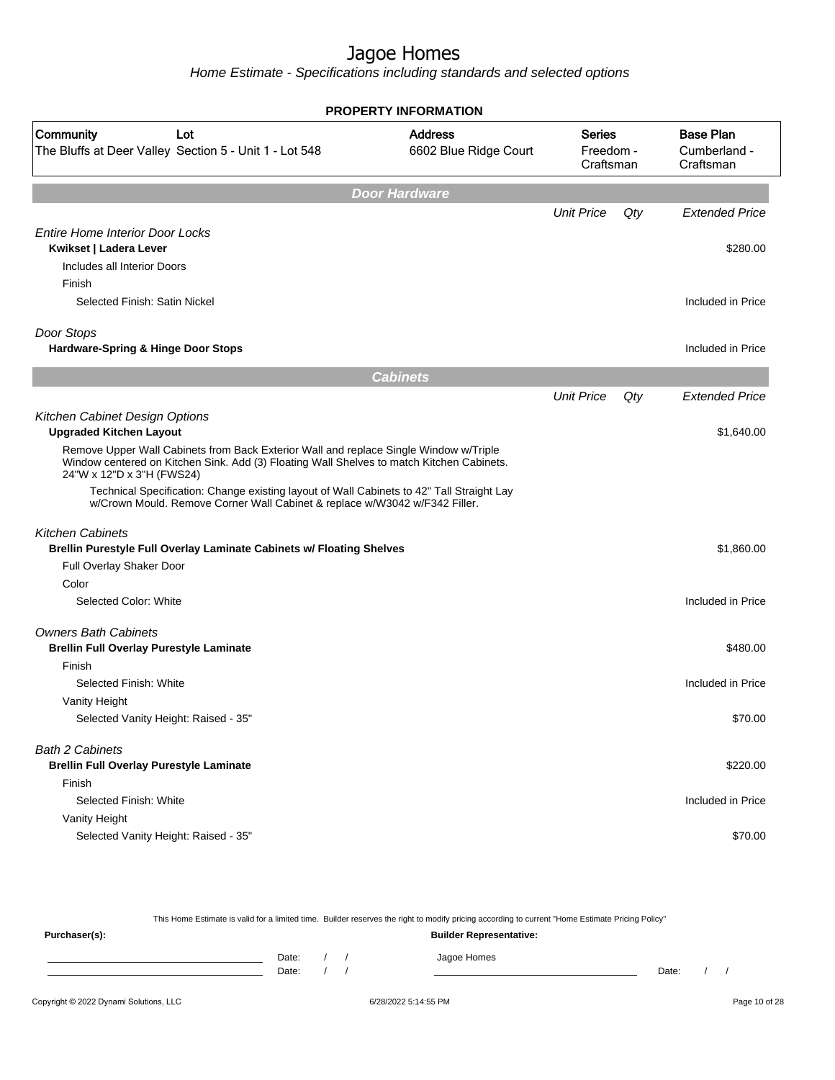Home Estimate - Specifications including standards and selected options

|                                                                                                                                                                                                                 | <b>PROPERTY INFORMATION</b>             |                                         |     |                                               |
|-----------------------------------------------------------------------------------------------------------------------------------------------------------------------------------------------------------------|-----------------------------------------|-----------------------------------------|-----|-----------------------------------------------|
| Community<br>Lot<br>The Bluffs at Deer Valley Section 5 - Unit 1 - Lot 548                                                                                                                                      | <b>Address</b><br>6602 Blue Ridge Court | <b>Series</b><br>Freedom -<br>Craftsman |     | <b>Base Plan</b><br>Cumberland -<br>Craftsman |
|                                                                                                                                                                                                                 | <b>Door Hardware</b>                    |                                         |     |                                               |
|                                                                                                                                                                                                                 |                                         | <b>Unit Price</b>                       | Qty | <b>Extended Price</b>                         |
| <b>Entire Home Interior Door Locks</b>                                                                                                                                                                          |                                         |                                         |     |                                               |
| Kwikset   Ladera Lever<br>Includes all Interior Doors                                                                                                                                                           |                                         |                                         |     | \$280.00                                      |
| Finish                                                                                                                                                                                                          |                                         |                                         |     |                                               |
| Selected Finish: Satin Nickel                                                                                                                                                                                   |                                         |                                         |     | Included in Price                             |
| Door Stops                                                                                                                                                                                                      |                                         |                                         |     |                                               |
| Hardware-Spring & Hinge Door Stops                                                                                                                                                                              |                                         |                                         |     | Included in Price                             |
|                                                                                                                                                                                                                 | <b>Cabinets</b>                         |                                         |     |                                               |
|                                                                                                                                                                                                                 |                                         | <b>Unit Price</b>                       | Qty | Extended Price                                |
| Kitchen Cabinet Design Options<br><b>Upgraded Kitchen Layout</b>                                                                                                                                                |                                         |                                         |     | \$1,640.00                                    |
| Remove Upper Wall Cabinets from Back Exterior Wall and replace Single Window w/Triple<br>Window centered on Kitchen Sink. Add (3) Floating Wall Shelves to match Kitchen Cabinets.<br>24"W x 12"D x 3"H (FWS24) |                                         |                                         |     |                                               |
| Technical Specification: Change existing layout of Wall Cabinets to 42" Tall Straight Lay<br>w/Crown Mould. Remove Corner Wall Cabinet & replace w/W3042 w/F342 Filler.                                         |                                         |                                         |     |                                               |
| <b>Kitchen Cabinets</b>                                                                                                                                                                                         |                                         |                                         |     |                                               |
| Brellin Purestyle Full Overlay Laminate Cabinets w/ Floating Shelves                                                                                                                                            |                                         |                                         |     | \$1,860.00                                    |
| Full Overlay Shaker Door                                                                                                                                                                                        |                                         |                                         |     |                                               |
| Color<br>Selected Color: White                                                                                                                                                                                  |                                         |                                         |     | Included in Price                             |
|                                                                                                                                                                                                                 |                                         |                                         |     |                                               |
| <b>Owners Bath Cabinets</b><br><b>Brellin Full Overlay Purestyle Laminate</b>                                                                                                                                   |                                         |                                         |     | \$480.00                                      |
| Finish                                                                                                                                                                                                          |                                         |                                         |     |                                               |
| Selected Finish: White                                                                                                                                                                                          |                                         |                                         |     | Included in Price                             |
| Vanity Height                                                                                                                                                                                                   |                                         |                                         |     |                                               |
| Selected Vanity Height: Raised - 35"                                                                                                                                                                            |                                         |                                         |     | \$70.00                                       |
| <b>Bath 2 Cabinets</b>                                                                                                                                                                                          |                                         |                                         |     |                                               |
| <b>Brellin Full Overlay Purestyle Laminate</b>                                                                                                                                                                  |                                         |                                         |     | \$220.00                                      |
| Finish                                                                                                                                                                                                          |                                         |                                         |     |                                               |
| Selected Finish: White                                                                                                                                                                                          |                                         |                                         |     | Included in Price                             |
| Vanity Height                                                                                                                                                                                                   |                                         |                                         |     |                                               |
| Selected Vanity Height: Raised - 35"                                                                                                                                                                            |                                         |                                         |     | \$70.00                                       |

This Home Estimate is valid for a limited time. Builder reserves the right to modify pricing according to current "Home Estimate Pricing Policy" **Purchaser(s): Builder Representative:** Date: / / Jagoe Homes<br>Date: / / Jagoe Homes Date: / / Date: / /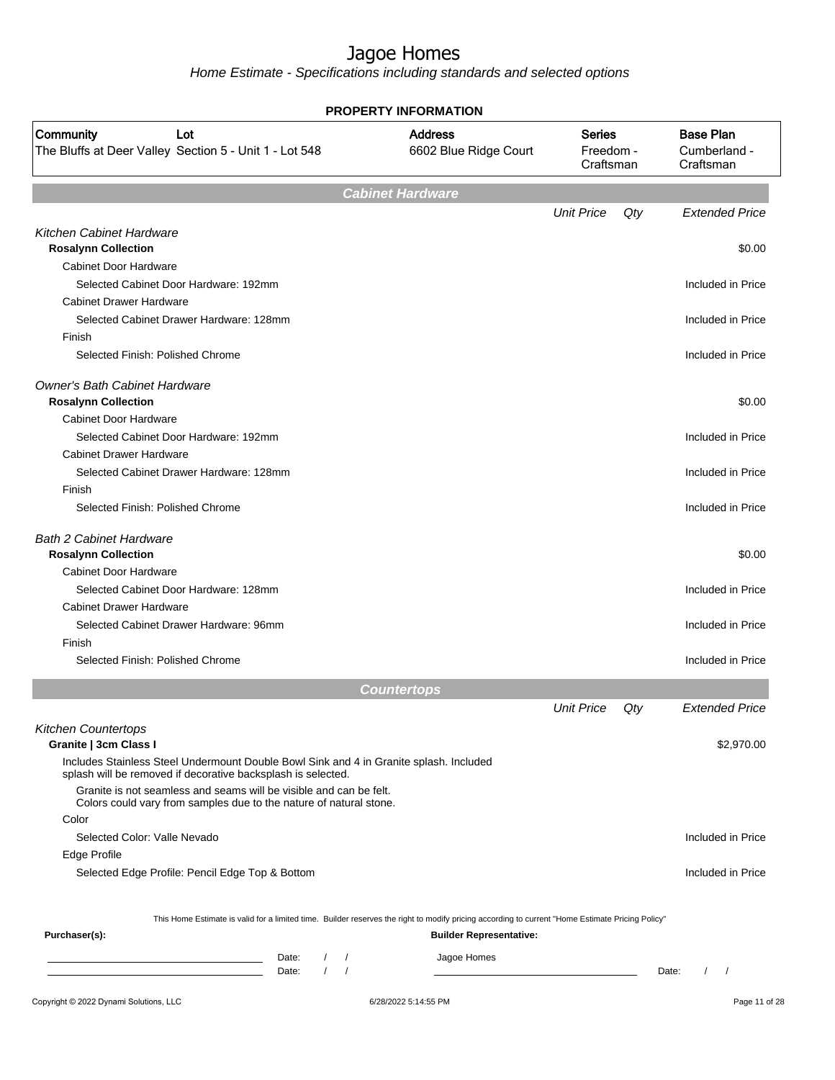|                                                                                                                                                  | <b>PROPERTY INFORMATION</b>             |                                         |     |                                               |
|--------------------------------------------------------------------------------------------------------------------------------------------------|-----------------------------------------|-----------------------------------------|-----|-----------------------------------------------|
| Community<br>Lot<br>The Bluffs at Deer Valley Section 5 - Unit 1 - Lot 548                                                                       | <b>Address</b><br>6602 Blue Ridge Court | <b>Series</b><br>Freedom -<br>Craftsman |     | <b>Base Plan</b><br>Cumberland -<br>Craftsman |
|                                                                                                                                                  | <b>Cabinet Hardware</b>                 |                                         |     |                                               |
|                                                                                                                                                  |                                         | <b>Unit Price</b>                       | Qty | <b>Extended Price</b>                         |
| Kitchen Cabinet Hardware                                                                                                                         |                                         |                                         |     |                                               |
| <b>Rosalynn Collection</b>                                                                                                                       |                                         |                                         |     | \$0.00                                        |
| <b>Cabinet Door Hardware</b>                                                                                                                     |                                         |                                         |     |                                               |
| Selected Cabinet Door Hardware: 192mm                                                                                                            |                                         |                                         |     | Included in Price                             |
| <b>Cabinet Drawer Hardware</b>                                                                                                                   |                                         |                                         |     |                                               |
| Selected Cabinet Drawer Hardware: 128mm                                                                                                          |                                         |                                         |     | Included in Price                             |
| Finish                                                                                                                                           |                                         |                                         |     |                                               |
| Selected Finish: Polished Chrome                                                                                                                 |                                         |                                         |     | Included in Price                             |
| <b>Owner's Bath Cabinet Hardware</b>                                                                                                             |                                         |                                         |     |                                               |
| <b>Rosalynn Collection</b>                                                                                                                       |                                         |                                         |     | \$0.00                                        |
| <b>Cabinet Door Hardware</b>                                                                                                                     |                                         |                                         |     |                                               |
| Selected Cabinet Door Hardware: 192mm                                                                                                            |                                         |                                         |     | Included in Price                             |
| <b>Cabinet Drawer Hardware</b>                                                                                                                   |                                         |                                         |     |                                               |
| Selected Cabinet Drawer Hardware: 128mm                                                                                                          |                                         |                                         |     | Included in Price                             |
| Finish                                                                                                                                           |                                         |                                         |     |                                               |
| Selected Finish: Polished Chrome                                                                                                                 |                                         |                                         |     | Included in Price                             |
| <b>Bath 2 Cabinet Hardware</b>                                                                                                                   |                                         |                                         |     |                                               |
| <b>Rosalynn Collection</b>                                                                                                                       |                                         |                                         |     | \$0.00                                        |
| Cabinet Door Hardware                                                                                                                            |                                         |                                         |     |                                               |
| Selected Cabinet Door Hardware: 128mm                                                                                                            |                                         |                                         |     | Included in Price                             |
| <b>Cabinet Drawer Hardware</b>                                                                                                                   |                                         |                                         |     |                                               |
| Selected Cabinet Drawer Hardware: 96mm                                                                                                           |                                         |                                         |     | Included in Price                             |
| Finish                                                                                                                                           |                                         |                                         |     |                                               |
| Selected Finish: Polished Chrome                                                                                                                 |                                         |                                         |     | Included in Price                             |
|                                                                                                                                                  | <b>Countertops</b>                      |                                         |     |                                               |
|                                                                                                                                                  |                                         | <b>Unit Price</b>                       | Qty | <b>Extended Price</b>                         |
| <b>Kitchen Countertops</b><br>Granite   3cm Class I                                                                                              |                                         |                                         |     | \$2,970.00                                    |
| Includes Stainless Steel Undermount Double Bowl Sink and 4 in Granite splash. Included                                                           |                                         |                                         |     |                                               |
| splash will be removed if decorative backsplash is selected.<br>Granite is not seamless and seams will be visible and can be felt.               |                                         |                                         |     |                                               |
| Colors could vary from samples due to the nature of natural stone.<br>Color                                                                      |                                         |                                         |     |                                               |
| Selected Color: Valle Nevado                                                                                                                     |                                         |                                         |     | Included in Price                             |
| Edge Profile                                                                                                                                     |                                         |                                         |     |                                               |
| Selected Edge Profile: Pencil Edge Top & Bottom                                                                                                  |                                         |                                         |     | Included in Price                             |
|                                                                                                                                                  |                                         |                                         |     |                                               |
| This Home Estimate is valid for a limited time. Builder reserves the right to modify pricing according to current "Home Estimate Pricing Policy" |                                         |                                         |     |                                               |
| Purchaser(s):                                                                                                                                    | <b>Builder Representative:</b>          |                                         |     |                                               |
| Date:<br>$\sqrt{ }$                                                                                                                              | Jagoe Homes                             |                                         |     |                                               |
| $\left  \right $<br>Date:                                                                                                                        |                                         |                                         |     | $\sqrt{ }$<br>Date:                           |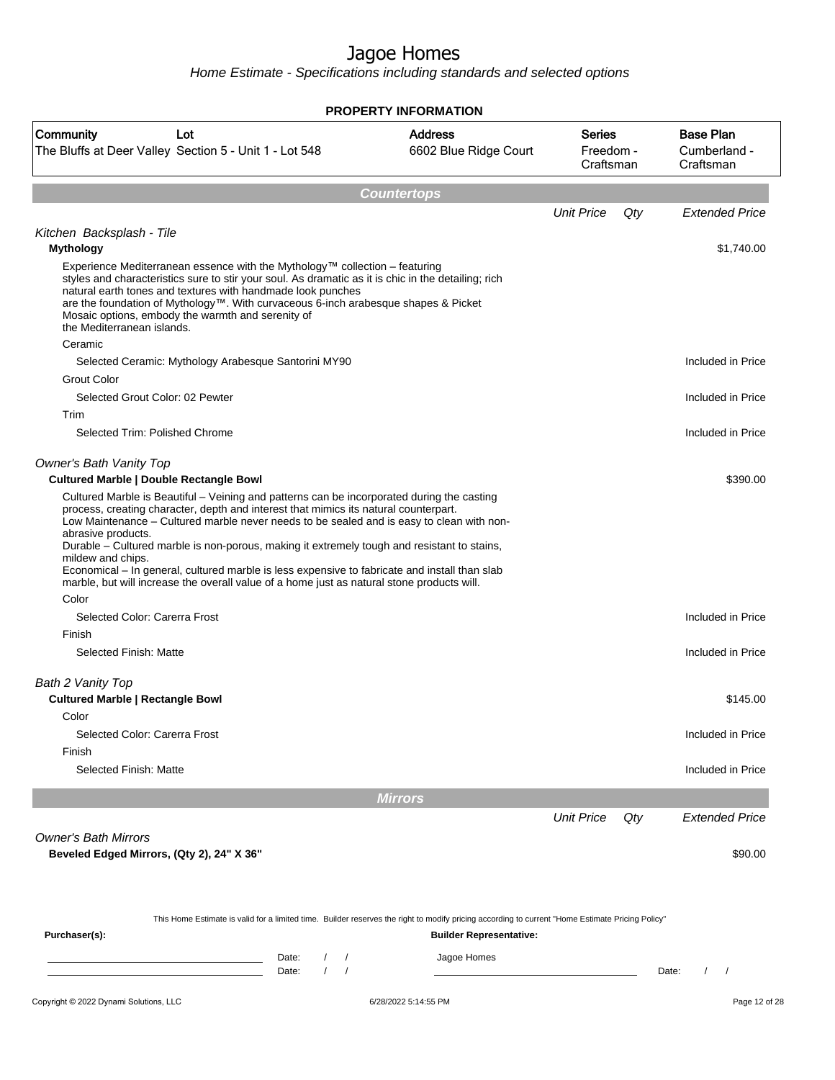|                                                                                                                                                                                                                                                                                                                                                                                                                                                                                                                                     | <b>PROPERTY INFORMATION</b>             |                                         |     |                                               |
|-------------------------------------------------------------------------------------------------------------------------------------------------------------------------------------------------------------------------------------------------------------------------------------------------------------------------------------------------------------------------------------------------------------------------------------------------------------------------------------------------------------------------------------|-----------------------------------------|-----------------------------------------|-----|-----------------------------------------------|
| <b>Community</b><br>Lot<br>The Bluffs at Deer Valley Section 5 - Unit 1 - Lot 548                                                                                                                                                                                                                                                                                                                                                                                                                                                   | <b>Address</b><br>6602 Blue Ridge Court | <b>Series</b><br>Freedom -<br>Craftsman |     | <b>Base Plan</b><br>Cumberland -<br>Craftsman |
|                                                                                                                                                                                                                                                                                                                                                                                                                                                                                                                                     | <b>Countertops</b>                      |                                         |     |                                               |
|                                                                                                                                                                                                                                                                                                                                                                                                                                                                                                                                     |                                         | <b>Unit Price</b>                       | Qty | <b>Extended Price</b>                         |
| Kitchen Backsplash - Tile<br><b>Mythology</b>                                                                                                                                                                                                                                                                                                                                                                                                                                                                                       |                                         |                                         |     | \$1,740.00                                    |
| Experience Mediterranean essence with the Mythology™ collection – featuring<br>styles and characteristics sure to stir your soul. As dramatic as it is chic in the detailing; rich<br>natural earth tones and textures with handmade look punches<br>are the foundation of Mythology™. With curvaceous 6-inch arabesque shapes & Picket<br>Mosaic options, embody the warmth and serenity of<br>the Mediterranean islands.                                                                                                          |                                         |                                         |     |                                               |
| Ceramic                                                                                                                                                                                                                                                                                                                                                                                                                                                                                                                             |                                         |                                         |     |                                               |
| Selected Ceramic: Mythology Arabesque Santorini MY90                                                                                                                                                                                                                                                                                                                                                                                                                                                                                |                                         |                                         |     | Included in Price                             |
| Grout Color                                                                                                                                                                                                                                                                                                                                                                                                                                                                                                                         |                                         |                                         |     |                                               |
| Selected Grout Color: 02 Pewter                                                                                                                                                                                                                                                                                                                                                                                                                                                                                                     |                                         |                                         |     | Included in Price                             |
| Trim<br>Selected Trim: Polished Chrome                                                                                                                                                                                                                                                                                                                                                                                                                                                                                              |                                         |                                         |     | Included in Price                             |
| <b>Owner's Bath Vanity Top</b><br><b>Cultured Marble   Double Rectangle Bowl</b>                                                                                                                                                                                                                                                                                                                                                                                                                                                    |                                         |                                         |     | \$390.00                                      |
| process, creating character, depth and interest that mimics its natural counterpart.<br>Low Maintenance - Cultured marble never needs to be sealed and is easy to clean with non-<br>abrasive products.<br>Durable - Cultured marble is non-porous, making it extremely tough and resistant to stains,<br>mildew and chips.<br>Economical – In general, cultured marble is less expensive to fabricate and install than slab<br>marble, but will increase the overall value of a home just as natural stone products will.<br>Color |                                         |                                         |     |                                               |
| Selected Color: Carerra Frost                                                                                                                                                                                                                                                                                                                                                                                                                                                                                                       |                                         |                                         |     | Included in Price                             |
| Finish                                                                                                                                                                                                                                                                                                                                                                                                                                                                                                                              |                                         |                                         |     |                                               |
| Selected Finish: Matte                                                                                                                                                                                                                                                                                                                                                                                                                                                                                                              |                                         |                                         |     | Included in Price                             |
| Bath 2 Vanity Top                                                                                                                                                                                                                                                                                                                                                                                                                                                                                                                   |                                         |                                         |     |                                               |
| <b>Cultured Marble   Rectangle Bowl</b>                                                                                                                                                                                                                                                                                                                                                                                                                                                                                             |                                         |                                         |     | \$145.00                                      |
| Color                                                                                                                                                                                                                                                                                                                                                                                                                                                                                                                               |                                         |                                         |     |                                               |
| Selected Color: Carerra Frost                                                                                                                                                                                                                                                                                                                                                                                                                                                                                                       |                                         |                                         |     | Included in Price                             |
| Finish<br>Selected Finish: Matte                                                                                                                                                                                                                                                                                                                                                                                                                                                                                                    |                                         |                                         |     | Included in Price                             |
|                                                                                                                                                                                                                                                                                                                                                                                                                                                                                                                                     | <b>Mirrors</b>                          |                                         |     |                                               |
|                                                                                                                                                                                                                                                                                                                                                                                                                                                                                                                                     |                                         | <b>Unit Price</b>                       |     | <b>Extended Price</b>                         |
|                                                                                                                                                                                                                                                                                                                                                                                                                                                                                                                                     |                                         |                                         | Qty |                                               |
| <b>Owner's Bath Mirrors</b><br>Beveled Edged Mirrors, (Qty 2), 24" X 36"                                                                                                                                                                                                                                                                                                                                                                                                                                                            |                                         |                                         |     | \$90.00                                       |
|                                                                                                                                                                                                                                                                                                                                                                                                                                                                                                                                     |                                         |                                         |     |                                               |
| This Home Estimate is valid for a limited time. Builder reserves the right to modify pricing according to current "Home Estimate Pricing Policy"<br>Purchaser(s):                                                                                                                                                                                                                                                                                                                                                                   | <b>Builder Representative:</b>          |                                         |     |                                               |
| Date:<br>Date:                                                                                                                                                                                                                                                                                                                                                                                                                                                                                                                      | Jagoe Homes                             |                                         |     | Date:<br>$\sqrt{2}$<br>$\sqrt{2}$             |
|                                                                                                                                                                                                                                                                                                                                                                                                                                                                                                                                     |                                         |                                         |     |                                               |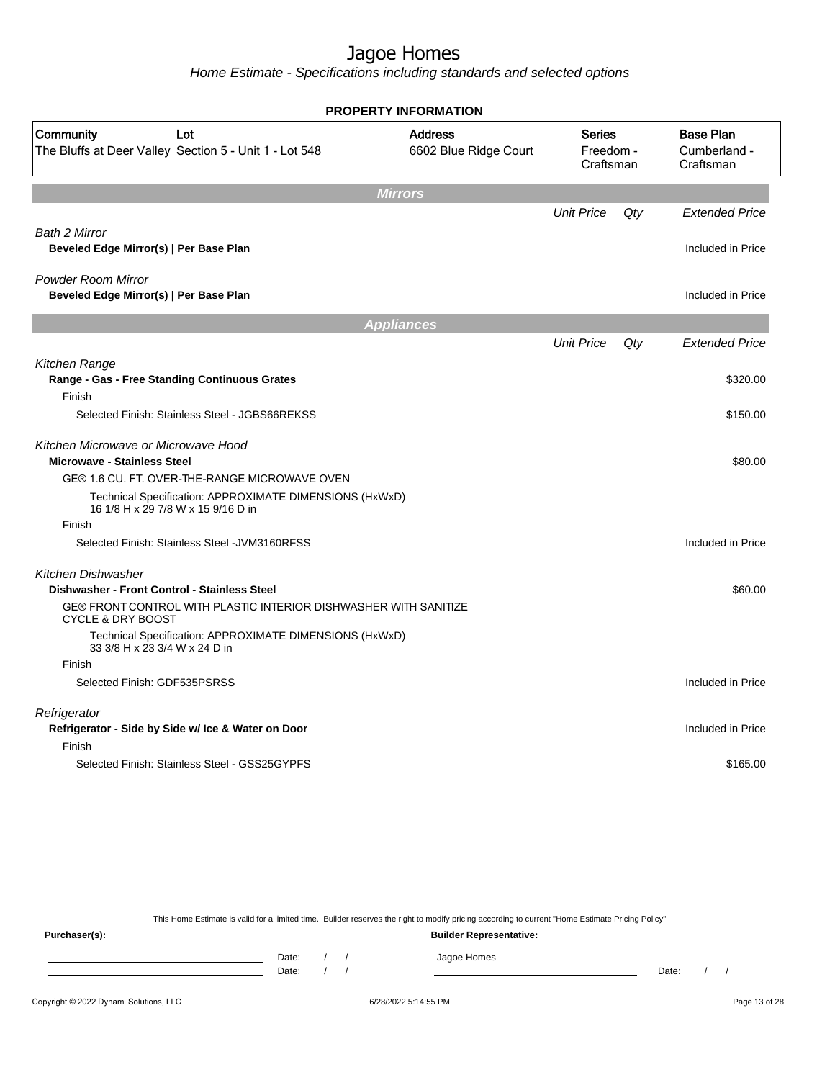Home Estimate - Specifications including standards and selected options

| <b>PROPERTY INFORMATION</b>                                                                      |                                         |                                         |        |                                               |  |  |  |  |  |  |  |  |  |
|--------------------------------------------------------------------------------------------------|-----------------------------------------|-----------------------------------------|--------|-----------------------------------------------|--|--|--|--|--|--|--|--|--|
| Community<br>Lot<br>The Bluffs at Deer Valley Section 5 - Unit 1 - Lot 548                       | <b>Address</b><br>6602 Blue Ridge Court | <b>Series</b><br>Freedom -<br>Craftsman |        | <b>Base Plan</b><br>Cumberland -<br>Craftsman |  |  |  |  |  |  |  |  |  |
| <b>Mirrors</b>                                                                                   |                                         |                                         |        |                                               |  |  |  |  |  |  |  |  |  |
|                                                                                                  |                                         | <b>Unit Price</b>                       | $Q$ ty | <b>Extended Price</b>                         |  |  |  |  |  |  |  |  |  |
| Bath 2 Mirror<br>Beveled Edge Mirror(s)   Per Base Plan                                          |                                         |                                         |        | Included in Price                             |  |  |  |  |  |  |  |  |  |
| <b>Powder Room Mirror</b><br>Beveled Edge Mirror(s)   Per Base Plan                              |                                         |                                         |        | Included in Price                             |  |  |  |  |  |  |  |  |  |
| <b>Appliances</b>                                                                                |                                         |                                         |        |                                               |  |  |  |  |  |  |  |  |  |
|                                                                                                  |                                         | <b>Unit Price</b>                       | Qty    | <b>Extended Price</b>                         |  |  |  |  |  |  |  |  |  |
| Kitchen Range<br>Range - Gas - Free Standing Continuous Grates                                   |                                         |                                         |        | \$320.00                                      |  |  |  |  |  |  |  |  |  |
| Finish<br>Selected Finish: Stainless Steel - JGBS66REKSS                                         |                                         |                                         |        | \$150.00                                      |  |  |  |  |  |  |  |  |  |
| Kitchen Microwave or Microwave Hood<br><b>Microwave - Stainless Steel</b>                        |                                         |                                         |        | \$80.00                                       |  |  |  |  |  |  |  |  |  |
| GE® 1.6 CU. FT. OVER-THE-RANGE MICROWAVE OVEN                                                    |                                         |                                         |        |                                               |  |  |  |  |  |  |  |  |  |
| Technical Specification: APPROXIMATE DIMENSIONS (HxWxD)<br>16 1/8 H x 29 7/8 W x 15 9/16 D in    |                                         |                                         |        |                                               |  |  |  |  |  |  |  |  |  |
| Finish                                                                                           |                                         |                                         |        |                                               |  |  |  |  |  |  |  |  |  |
| Selected Finish: Stainless Steel - JVM3160RFSS                                                   |                                         |                                         |        | Included in Price                             |  |  |  |  |  |  |  |  |  |
| Kitchen Dishwasher<br>Dishwasher - Front Control - Stainless Steel                               |                                         |                                         |        | \$60.00                                       |  |  |  |  |  |  |  |  |  |
| GE® FRONT CONTROL WITH PLASTIC INTERIOR DISHWASHER WITH SANITIZE<br><b>CYCLE &amp; DRY BOOST</b> |                                         |                                         |        |                                               |  |  |  |  |  |  |  |  |  |
| Technical Specification: APPROXIMATE DIMENSIONS (HxWxD)<br>33 3/8 H x 23 3/4 W x 24 D in         |                                         |                                         |        |                                               |  |  |  |  |  |  |  |  |  |
| Finish                                                                                           |                                         |                                         |        |                                               |  |  |  |  |  |  |  |  |  |
| Selected Finish: GDF535PSRSS                                                                     |                                         |                                         |        | Included in Price                             |  |  |  |  |  |  |  |  |  |
| Refrigerator<br>Refrigerator - Side by Side w/ Ice & Water on Door                               |                                         |                                         |        | Included in Price                             |  |  |  |  |  |  |  |  |  |
| Finish                                                                                           |                                         |                                         |        |                                               |  |  |  |  |  |  |  |  |  |
| Selected Finish: Stainless Steel - GSS25GYPFS                                                    |                                         |                                         |        | \$165.00                                      |  |  |  |  |  |  |  |  |  |

This Home Estimate is valid for a limited time. Builder reserves the right to modify pricing according to current "Home Estimate Pricing Policy" **Purchaser(s): Builder Representative:**

Date: / / Jagoe Homes<br>Date: / / Jagoe Homes Date: / / Date: / /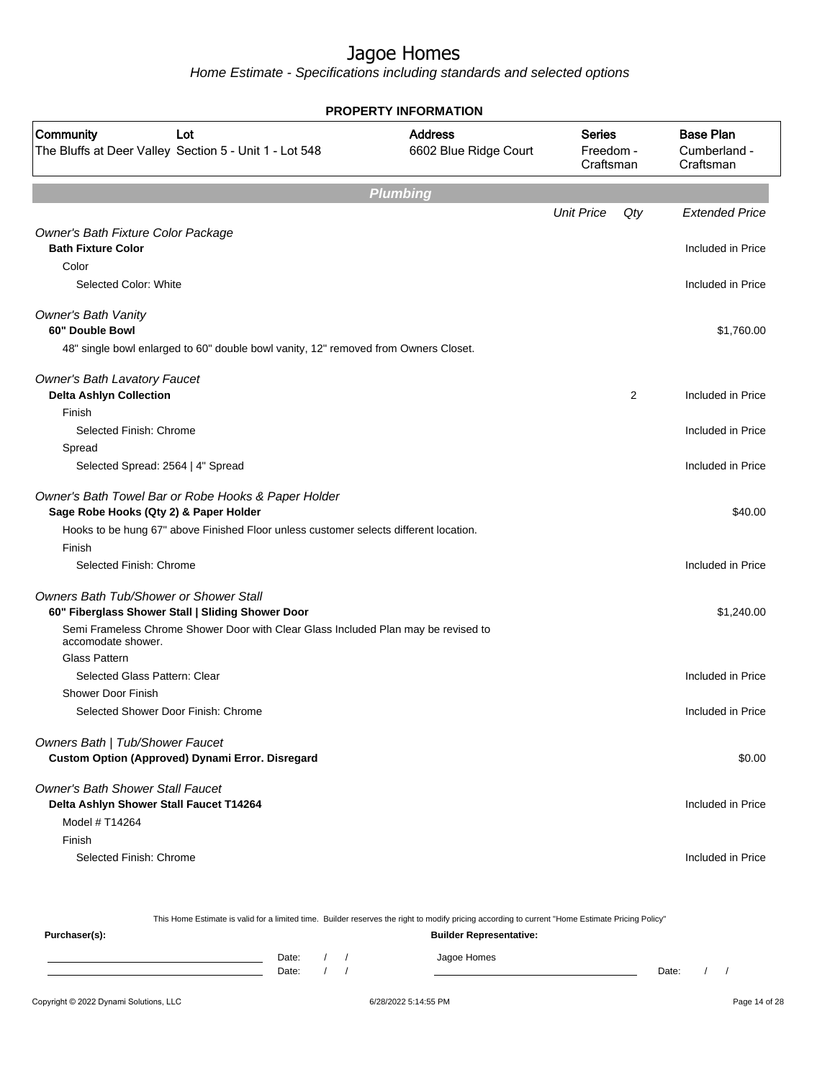|                                                                                                          | <b>PROPERTY INFORMATION</b>             |                                         |     |                                               |
|----------------------------------------------------------------------------------------------------------|-----------------------------------------|-----------------------------------------|-----|-----------------------------------------------|
| Community<br>Lot<br>The Bluffs at Deer Valley Section 5 - Unit 1 - Lot 548                               | <b>Address</b><br>6602 Blue Ridge Court | <b>Series</b><br>Freedom -<br>Craftsman |     | <b>Base Plan</b><br>Cumberland -<br>Craftsman |
|                                                                                                          | <b>Plumbing</b>                         |                                         |     |                                               |
|                                                                                                          |                                         | <b>Unit Price</b>                       | Qty | <b>Extended Price</b>                         |
| Owner's Bath Fixture Color Package<br><b>Bath Fixture Color</b>                                          |                                         |                                         |     | Included in Price                             |
| Color                                                                                                    |                                         |                                         |     |                                               |
| Selected Color: White                                                                                    |                                         |                                         |     | Included in Price                             |
| <b>Owner's Bath Vanity</b><br>60" Double Bowl                                                            |                                         |                                         |     | \$1,760.00                                    |
| 48" single bowl enlarged to 60" double bowl vanity, 12" removed from Owners Closet.                      |                                         |                                         |     |                                               |
| <b>Owner's Bath Lavatory Faucet</b>                                                                      |                                         |                                         |     |                                               |
| <b>Delta Ashlyn Collection</b>                                                                           |                                         |                                         | 2   | Included in Price                             |
| Finish                                                                                                   |                                         |                                         |     |                                               |
| Selected Finish: Chrome                                                                                  |                                         |                                         |     | Included in Price                             |
| Spread                                                                                                   |                                         |                                         |     |                                               |
| Selected Spread: 2564   4" Spread                                                                        |                                         |                                         |     | Included in Price                             |
| Owner's Bath Towel Bar or Robe Hooks & Paper Holder<br>Sage Robe Hooks (Qty 2) & Paper Holder            |                                         |                                         |     | \$40.00                                       |
| Hooks to be hung 67" above Finished Floor unless customer selects different location.                    |                                         |                                         |     |                                               |
| Finish                                                                                                   |                                         |                                         |     |                                               |
| Selected Finish: Chrome                                                                                  |                                         |                                         |     | Included in Price                             |
| Owners Bath Tub/Shower or Shower Stall<br>60" Fiberglass Shower Stall   Sliding Shower Door              |                                         |                                         |     | \$1,240.00                                    |
| Semi Frameless Chrome Shower Door with Clear Glass Included Plan may be revised to<br>accomodate shower. |                                         |                                         |     |                                               |
| <b>Glass Pattern</b>                                                                                     |                                         |                                         |     |                                               |
| Selected Glass Pattern: Clear                                                                            |                                         |                                         |     | Included in Price                             |
| <b>Shower Door Finish</b>                                                                                |                                         |                                         |     |                                               |
| Selected Shower Door Finish: Chrome                                                                      |                                         |                                         |     | Included in Price                             |
| Owners Bath   Tub/Shower Faucet                                                                          |                                         |                                         |     |                                               |
| Custom Option (Approved) Dynami Error. Disregard                                                         |                                         |                                         |     | \$0.00                                        |
| Owner's Bath Shower Stall Faucet<br>Delta Ashlyn Shower Stall Faucet T14264                              |                                         |                                         |     | Included in Price                             |
| Model # T14264                                                                                           |                                         |                                         |     |                                               |
| Finish                                                                                                   |                                         |                                         |     |                                               |
| Selected Finish: Chrome                                                                                  |                                         |                                         |     | Included in Price                             |

|                                        |       |  | This Home Estimate is valid for a limited time. Builder reserves the right to modify pricing according to current "Home Estimate Pricing Policy" |       |  |               |
|----------------------------------------|-------|--|--------------------------------------------------------------------------------------------------------------------------------------------------|-------|--|---------------|
| Purchaser(s):                          |       |  | <b>Builder Representative:</b>                                                                                                                   |       |  |               |
|                                        | Date: |  | Jagoe Homes                                                                                                                                      |       |  |               |
|                                        | Date: |  |                                                                                                                                                  | Date: |  |               |
| Copyright © 2022 Dynami Solutions, LLC |       |  | 6/28/2022 5:14:55 PM                                                                                                                             |       |  | Page 14 of 28 |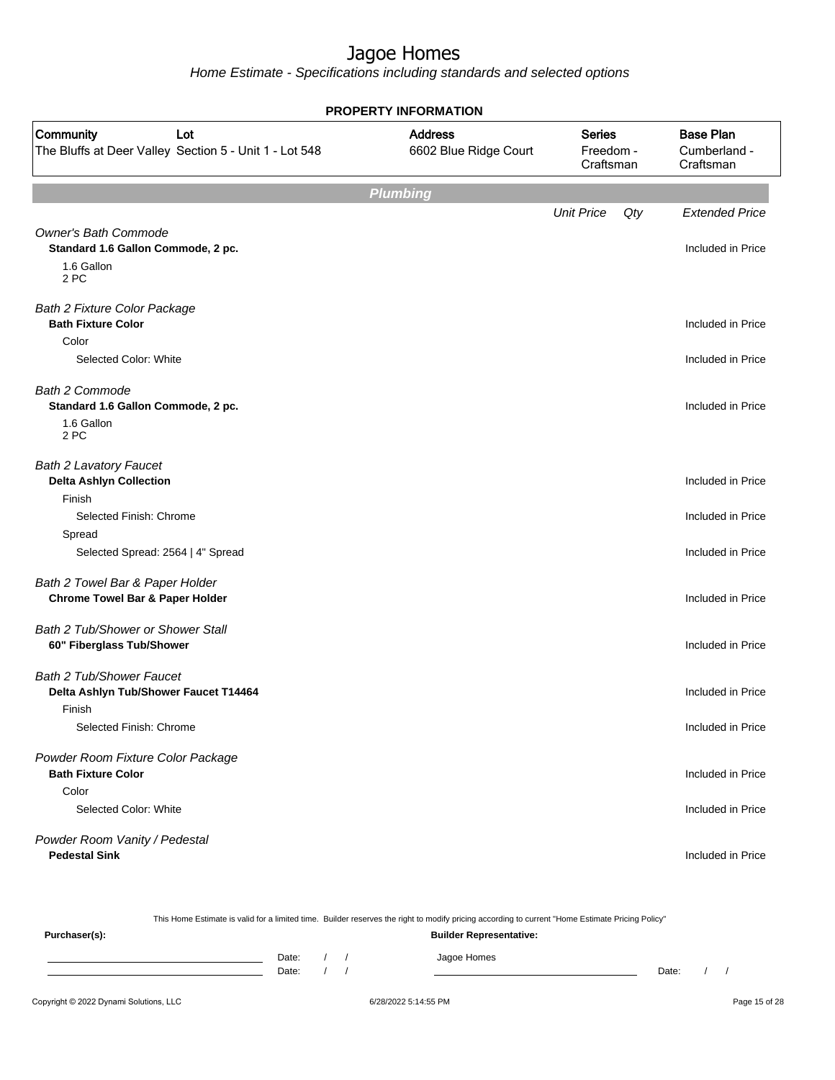| <b>PROPERTY INFORMATION</b>                                                             |                                         |                                         |     |                                               |  |  |  |  |  |  |  |
|-----------------------------------------------------------------------------------------|-----------------------------------------|-----------------------------------------|-----|-----------------------------------------------|--|--|--|--|--|--|--|
| Community<br>Lot<br>The Bluffs at Deer Valley Section 5 - Unit 1 - Lot 548              | <b>Address</b><br>6602 Blue Ridge Court | <b>Series</b><br>Freedom -<br>Craftsman |     | <b>Base Plan</b><br>Cumberland -<br>Craftsman |  |  |  |  |  |  |  |
|                                                                                         | <b>Plumbing</b>                         |                                         |     |                                               |  |  |  |  |  |  |  |
|                                                                                         |                                         | <b>Unit Price</b>                       | Qty | <b>Extended Price</b>                         |  |  |  |  |  |  |  |
| <b>Owner's Bath Commode</b><br>Standard 1.6 Gallon Commode, 2 pc.<br>1.6 Gallon<br>2 PC |                                         |                                         |     | Included in Price                             |  |  |  |  |  |  |  |
| <b>Bath 2 Fixture Color Package</b><br><b>Bath Fixture Color</b>                        |                                         |                                         |     | Included in Price                             |  |  |  |  |  |  |  |
| Color<br>Selected Color: White                                                          |                                         |                                         |     | Included in Price                             |  |  |  |  |  |  |  |
| Bath 2 Commode<br>Standard 1.6 Gallon Commode, 2 pc.<br>1.6 Gallon<br>2 PC              |                                         |                                         |     | Included in Price                             |  |  |  |  |  |  |  |
| <b>Bath 2 Lavatory Faucet</b><br><b>Delta Ashlyn Collection</b><br>Finish               |                                         |                                         |     | Included in Price                             |  |  |  |  |  |  |  |
| Selected Finish: Chrome                                                                 |                                         |                                         |     | Included in Price                             |  |  |  |  |  |  |  |
| Spread<br>Selected Spread: 2564   4" Spread                                             |                                         |                                         |     | Included in Price                             |  |  |  |  |  |  |  |
| Bath 2 Towel Bar & Paper Holder<br><b>Chrome Towel Bar &amp; Paper Holder</b>           |                                         |                                         |     | Included in Price                             |  |  |  |  |  |  |  |
| Bath 2 Tub/Shower or Shower Stall<br>60" Fiberglass Tub/Shower                          |                                         |                                         |     | Included in Price                             |  |  |  |  |  |  |  |
| <b>Bath 2 Tub/Shower Faucet</b><br>Delta Ashlyn Tub/Shower Faucet T14464<br>Finish      |                                         |                                         |     | Included in Price                             |  |  |  |  |  |  |  |
| Selected Finish: Chrome                                                                 |                                         |                                         |     | Included in Price                             |  |  |  |  |  |  |  |
| Powder Room Fixture Color Package<br><b>Bath Fixture Color</b>                          |                                         |                                         |     | Included in Price                             |  |  |  |  |  |  |  |
| Color<br>Selected Color: White                                                          |                                         |                                         |     | Included in Price                             |  |  |  |  |  |  |  |
| Powder Room Vanity / Pedestal<br><b>Pedestal Sink</b>                                   |                                         |                                         |     | Included in Price                             |  |  |  |  |  |  |  |

| This Home Estimate is valid for a limited time. Builder reserves the right to modify pricing according to current "Home Estimate Pricing Policy" |       |  |  |  |  |                                |       |  |
|--------------------------------------------------------------------------------------------------------------------------------------------------|-------|--|--|--|--|--------------------------------|-------|--|
| Purchaser(s):                                                                                                                                    |       |  |  |  |  | <b>Builder Representative:</b> |       |  |
|                                                                                                                                                  | Date: |  |  |  |  | Jagoe Homes                    |       |  |
|                                                                                                                                                  | Date: |  |  |  |  |                                | Date: |  |
|                                                                                                                                                  |       |  |  |  |  |                                |       |  |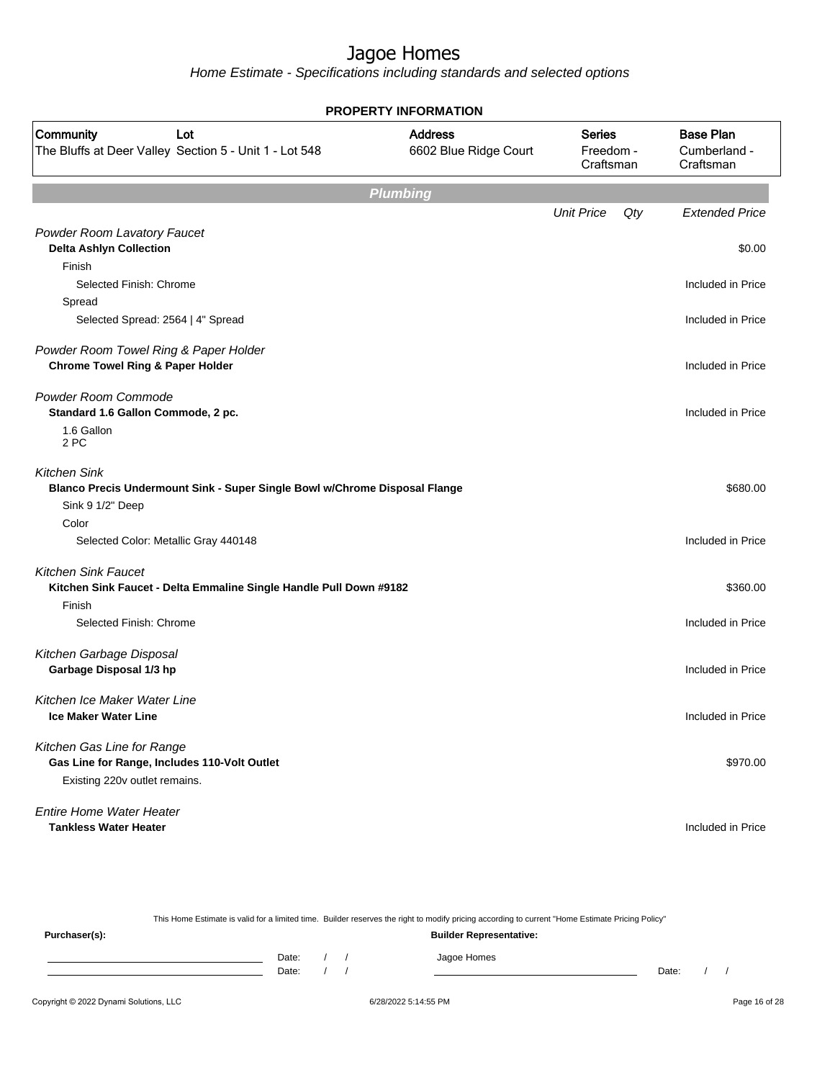|                                                                            | <b>PROPERTY INFORMATION</b>             |                                         |     |                                               |
|----------------------------------------------------------------------------|-----------------------------------------|-----------------------------------------|-----|-----------------------------------------------|
| Community<br>Lot<br>The Bluffs at Deer Valley Section 5 - Unit 1 - Lot 548 | <b>Address</b><br>6602 Blue Ridge Court | <b>Series</b><br>Freedom -<br>Craftsman |     | <b>Base Plan</b><br>Cumberland -<br>Craftsman |
|                                                                            | <b>Plumbing</b>                         |                                         |     |                                               |
|                                                                            |                                         | <b>Unit Price</b>                       | Qty | <b>Extended Price</b>                         |
| Powder Room Lavatory Faucet                                                |                                         |                                         |     |                                               |
| <b>Delta Ashlyn Collection</b>                                             |                                         |                                         |     | \$0.00                                        |
| Finish                                                                     |                                         |                                         |     |                                               |
| Selected Finish: Chrome                                                    |                                         |                                         |     | Included in Price                             |
| Spread                                                                     |                                         |                                         |     |                                               |
| Selected Spread: 2564   4" Spread                                          |                                         |                                         |     | Included in Price                             |
| Powder Room Towel Ring & Paper Holder                                      |                                         |                                         |     |                                               |
| <b>Chrome Towel Ring &amp; Paper Holder</b>                                |                                         |                                         |     | Included in Price                             |
| Powder Room Commode                                                        |                                         |                                         |     |                                               |
| Standard 1.6 Gallon Commode, 2 pc.                                         |                                         |                                         |     | Included in Price                             |
| 1.6 Gallon<br>2 PC                                                         |                                         |                                         |     |                                               |
| <b>Kitchen Sink</b>                                                        |                                         |                                         |     |                                               |
| Blanco Precis Undermount Sink - Super Single Bowl w/Chrome Disposal Flange |                                         |                                         |     | \$680.00                                      |
| Sink 9 1/2" Deep                                                           |                                         |                                         |     |                                               |
| Color                                                                      |                                         |                                         |     |                                               |
| Selected Color: Metallic Gray 440148                                       |                                         |                                         |     | Included in Price                             |
| <b>Kitchen Sink Faucet</b>                                                 |                                         |                                         |     |                                               |
| Kitchen Sink Faucet - Delta Emmaline Single Handle Pull Down #9182         |                                         |                                         |     | \$360.00                                      |
| Finish                                                                     |                                         |                                         |     |                                               |
| Selected Finish: Chrome                                                    |                                         |                                         |     | Included in Price                             |
| Kitchen Garbage Disposal                                                   |                                         |                                         |     |                                               |
| Garbage Disposal 1/3 hp                                                    |                                         |                                         |     | Included in Price                             |
| Kitchen Ice Maker Water Line                                               |                                         |                                         |     |                                               |
| <b>Ice Maker Water Line</b>                                                |                                         |                                         |     | Included in Price                             |
| Kitchen Gas Line for Range                                                 |                                         |                                         |     |                                               |
| Gas Line for Range, Includes 110-Volt Outlet                               |                                         |                                         |     | \$970.00                                      |
| Existing 220v outlet remains.                                              |                                         |                                         |     |                                               |
| <b>Entire Home Water Heater</b>                                            |                                         |                                         |     |                                               |
| <b>Tankless Water Heater</b>                                               |                                         |                                         |     | Included in Price                             |

|               |                                |  |  | This Home Estimate is valid for a limited time. Builder reserves the right to modify pricing according to current "Home Estimate Pricing Policy" |       |  |  |
|---------------|--------------------------------|--|--|--------------------------------------------------------------------------------------------------------------------------------------------------|-------|--|--|
| Purchaser(s): | <b>Builder Representative:</b> |  |  |                                                                                                                                                  |       |  |  |
|               | Date:                          |  |  | Jagoe Homes                                                                                                                                      |       |  |  |
|               | Date:                          |  |  |                                                                                                                                                  | Date: |  |  |
|               |                                |  |  |                                                                                                                                                  |       |  |  |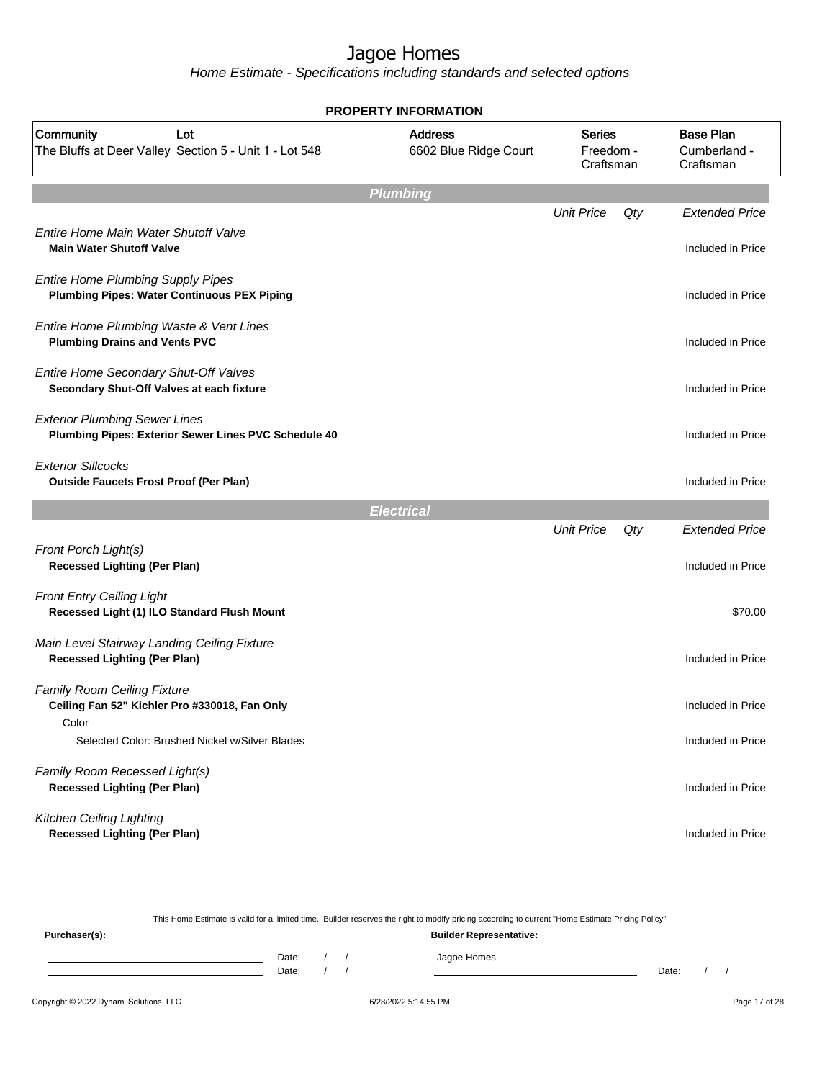|                                                                                                | <b>PROPERTY INFORMATION</b>             |                                         |     |                                               |
|------------------------------------------------------------------------------------------------|-----------------------------------------|-----------------------------------------|-----|-----------------------------------------------|
| Community<br>Lot<br>The Bluffs at Deer Valley Section 5 - Unit 1 - Lot 548                     | <b>Address</b><br>6602 Blue Ridge Court | <b>Series</b><br>Freedom -<br>Craftsman |     | <b>Base Plan</b><br>Cumberland -<br>Craftsman |
|                                                                                                | <b>Plumbing</b>                         |                                         |     |                                               |
|                                                                                                |                                         | <b>Unit Price</b>                       | Qty | <b>Extended Price</b>                         |
| Entire Home Main Water Shutoff Valve<br><b>Main Water Shutoff Valve</b>                        |                                         |                                         |     | Included in Price                             |
| <b>Entire Home Plumbing Supply Pipes</b><br><b>Plumbing Pipes: Water Continuous PEX Piping</b> |                                         |                                         |     | Included in Price                             |
| Entire Home Plumbing Waste & Vent Lines<br><b>Plumbing Drains and Vents PVC</b>                |                                         |                                         |     | Included in Price                             |
| Entire Home Secondary Shut-Off Valves<br>Secondary Shut-Off Valves at each fixture             |                                         |                                         |     | Included in Price                             |
| <b>Exterior Plumbing Sewer Lines</b><br>Plumbing Pipes: Exterior Sewer Lines PVC Schedule 40   |                                         |                                         |     | Included in Price                             |
| <b>Exterior Sillcocks</b><br><b>Outside Faucets Frost Proof (Per Plan)</b>                     |                                         |                                         |     | Included in Price                             |
|                                                                                                | <b>Electrical</b>                       |                                         |     |                                               |
|                                                                                                |                                         | <b>Unit Price</b>                       | Qty | <b>Extended Price</b>                         |
| Front Porch Light(s)<br><b>Recessed Lighting (Per Plan)</b>                                    |                                         |                                         |     | Included in Price                             |
| <b>Front Entry Ceiling Light</b><br>Recessed Light (1) ILO Standard Flush Mount                |                                         |                                         |     | \$70.00                                       |
| Main Level Stairway Landing Ceiling Fixture<br><b>Recessed Lighting (Per Plan)</b>             |                                         |                                         |     | Included in Price                             |
| <b>Family Room Ceiling Fixture</b><br>Ceiling Fan 52" Kichler Pro #330018, Fan Only            |                                         |                                         |     | Included in Price                             |
| Color<br>Selected Color: Brushed Nickel w/Silver Blades                                        |                                         |                                         |     | Included in Price                             |
| Family Room Recessed Light(s)<br><b>Recessed Lighting (Per Plan)</b>                           |                                         |                                         |     | Included in Price                             |
| <b>Kitchen Ceiling Lighting</b><br><b>Recessed Lighting (Per Plan)</b>                         |                                         |                                         |     | Included in Price                             |

| This Home Estimate is valid for a limited time. Builder reserves the right to modify pricing according to current "Home Estimate Pricing Policy" |                                |  |  |  |             |       |  |
|--------------------------------------------------------------------------------------------------------------------------------------------------|--------------------------------|--|--|--|-------------|-------|--|
| Purchaser(s):                                                                                                                                    | <b>Builder Representative:</b> |  |  |  |             |       |  |
|                                                                                                                                                  | Date:                          |  |  |  | Jagoe Homes |       |  |
|                                                                                                                                                  | Date:                          |  |  |  |             | Date: |  |
|                                                                                                                                                  |                                |  |  |  |             |       |  |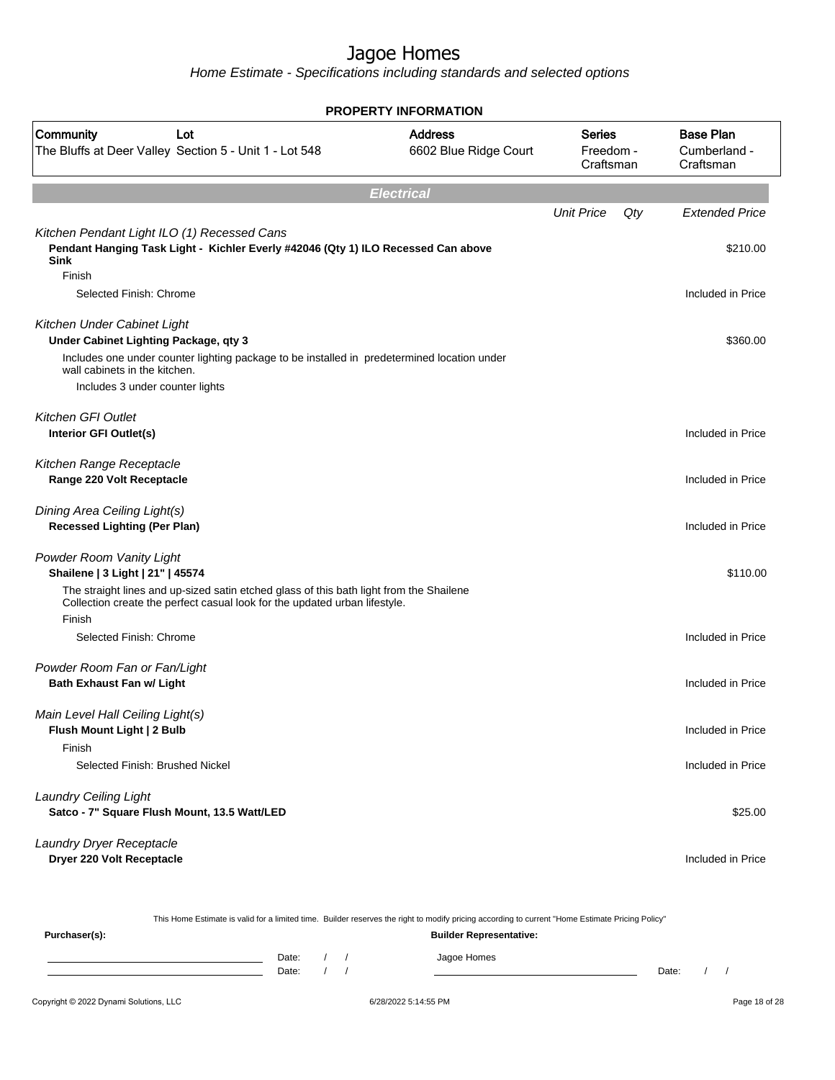Home Estimate - Specifications including standards and selected options

|                                                                                                                                                                                                                                         | <b>PROPERTY INFORMATION</b>             |                                         |     |                                               |
|-----------------------------------------------------------------------------------------------------------------------------------------------------------------------------------------------------------------------------------------|-----------------------------------------|-----------------------------------------|-----|-----------------------------------------------|
| Community<br>Lot<br>The Bluffs at Deer Valley Section 5 - Unit 1 - Lot 548                                                                                                                                                              | <b>Address</b><br>6602 Blue Ridge Court | <b>Series</b><br>Freedom -<br>Craftsman |     | <b>Base Plan</b><br>Cumberland -<br>Craftsman |
|                                                                                                                                                                                                                                         | <b>Electrical</b>                       |                                         |     |                                               |
|                                                                                                                                                                                                                                         |                                         | <b>Unit Price</b>                       | Qty | <b>Extended Price</b>                         |
| Kitchen Pendant Light ILO (1) Recessed Cans<br>Pendant Hanging Task Light - Kichler Everly #42046 (Qty 1) ILO Recessed Can above<br><b>Sink</b><br>Finish                                                                               |                                         |                                         |     | \$210.00                                      |
| Selected Finish: Chrome                                                                                                                                                                                                                 |                                         |                                         |     | Included in Price                             |
| Kitchen Under Cabinet Light<br>Under Cabinet Lighting Package, qty 3<br>Includes one under counter lighting package to be installed in predetermined location under<br>wall cabinets in the kitchen.<br>Includes 3 under counter lights |                                         |                                         |     | \$360.00                                      |
| <b>Kitchen GFI Outlet</b><br>Interior GFI Outlet(s)                                                                                                                                                                                     |                                         |                                         |     | Included in Price                             |
| Kitchen Range Receptacle                                                                                                                                                                                                                |                                         |                                         |     |                                               |
| Range 220 Volt Receptacle                                                                                                                                                                                                               |                                         |                                         |     | Included in Price                             |
| Dining Area Ceiling Light(s)<br><b>Recessed Lighting (Per Plan)</b>                                                                                                                                                                     |                                         |                                         |     | Included in Price                             |
| Powder Room Vanity Light<br>Shailene   3 Light   21"   45574                                                                                                                                                                            |                                         |                                         |     | \$110.00                                      |
| The straight lines and up-sized satin etched glass of this bath light from the Shailene<br>Collection create the perfect casual look for the updated urban lifestyle.<br>Finish                                                         |                                         |                                         |     |                                               |
| Selected Finish: Chrome                                                                                                                                                                                                                 |                                         |                                         |     | Included in Price                             |
| Powder Room Fan or Fan/Light<br><b>Bath Exhaust Fan w/ Light</b>                                                                                                                                                                        |                                         |                                         |     | Included in Price                             |
| Main Level Hall Ceiling Light(s)<br>Flush Mount Light   2 Bulb<br>Finish                                                                                                                                                                |                                         |                                         |     | Included in Price                             |
| Selected Finish: Brushed Nickel                                                                                                                                                                                                         |                                         |                                         |     | Included in Price                             |
| <b>Laundry Ceiling Light</b><br>Satco - 7" Square Flush Mount, 13.5 Watt/LED                                                                                                                                                            |                                         |                                         |     | \$25.00                                       |
| Laundry Dryer Receptacle<br>Dryer 220 Volt Receptacle                                                                                                                                                                                   |                                         |                                         |     | Included in Price                             |

This Home Estimate is valid for a limited time. Builder reserves the right to modify pricing according to current "Home Estimate Pricing Policy"

**Purchaser(s): Builder Representative:** Date: / / Jagoe Homes<br>Date: / / Jagoe Homes Date: / / Date: / /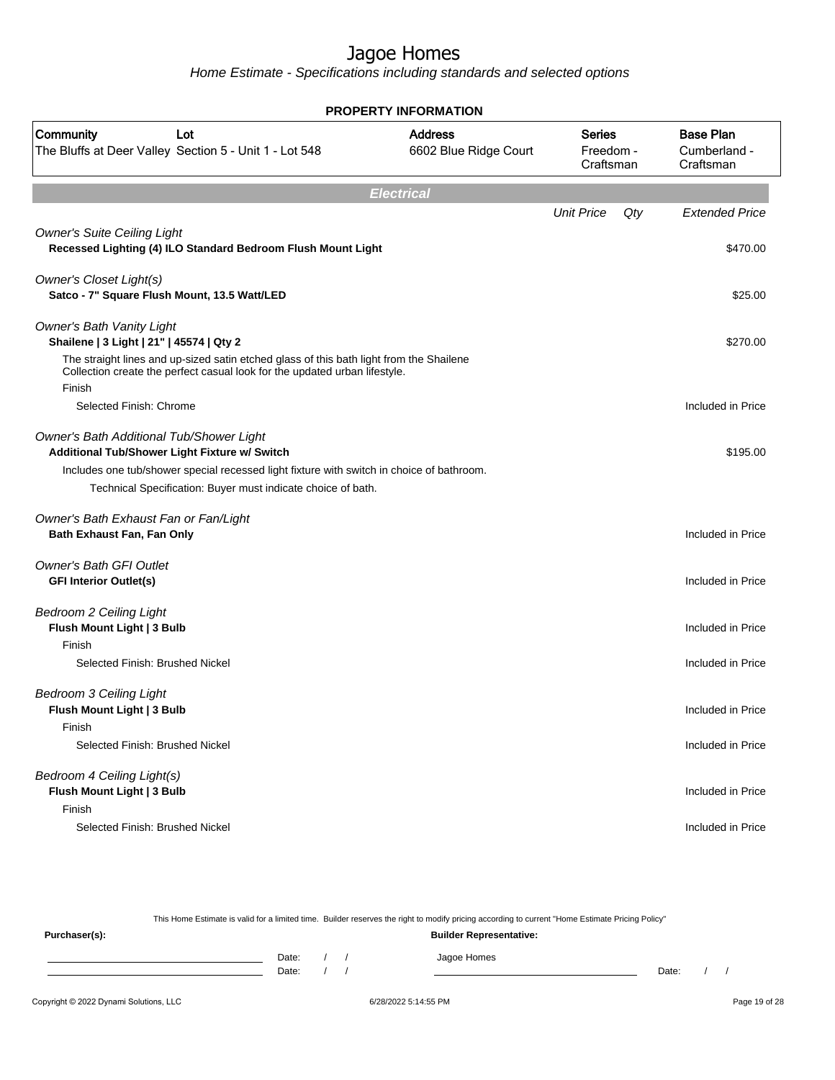Home Estimate - Specifications including standards and selected options

|                                                                                                                                                                                 | <b>PROPERTY INFORMATION</b>             |                                         |     |                                               |
|---------------------------------------------------------------------------------------------------------------------------------------------------------------------------------|-----------------------------------------|-----------------------------------------|-----|-----------------------------------------------|
| Community<br>Lot<br>The Bluffs at Deer Valley Section 5 - Unit 1 - Lot 548                                                                                                      | <b>Address</b><br>6602 Blue Ridge Court | <b>Series</b><br>Freedom -<br>Craftsman |     | <b>Base Plan</b><br>Cumberland -<br>Craftsman |
|                                                                                                                                                                                 | <b>Electrical</b>                       |                                         |     |                                               |
|                                                                                                                                                                                 |                                         | <b>Unit Price</b>                       | Qty | <b>Extended Price</b>                         |
| <b>Owner's Suite Ceiling Light</b><br>Recessed Lighting (4) ILO Standard Bedroom Flush Mount Light                                                                              |                                         |                                         |     | \$470.00                                      |
| Owner's Closet Light(s)<br>Satco - 7" Square Flush Mount, 13.5 Watt/LED                                                                                                         |                                         |                                         |     | \$25.00                                       |
| <b>Owner's Bath Vanity Light</b><br>Shailene   3 Light   21"   45574   Qty 2                                                                                                    |                                         |                                         |     | \$270.00                                      |
| The straight lines and up-sized satin etched glass of this bath light from the Shailene<br>Collection create the perfect casual look for the updated urban lifestyle.<br>Finish |                                         |                                         |     |                                               |
| Selected Finish: Chrome                                                                                                                                                         |                                         |                                         |     | Included in Price                             |
| Owner's Bath Additional Tub/Shower Light<br>Additional Tub/Shower Light Fixture w/ Switch                                                                                       |                                         |                                         |     | \$195.00                                      |
| Includes one tub/shower special recessed light fixture with switch in choice of bathroom.                                                                                       |                                         |                                         |     |                                               |
| Technical Specification: Buyer must indicate choice of bath.                                                                                                                    |                                         |                                         |     |                                               |
| Owner's Bath Exhaust Fan or Fan/Light<br>Bath Exhaust Fan, Fan Only                                                                                                             |                                         |                                         |     | Included in Price                             |
| <b>Owner's Bath GFI Outlet</b><br><b>GFI Interior Outlet(s)</b>                                                                                                                 |                                         |                                         |     | Included in Price                             |
| <b>Bedroom 2 Ceiling Light</b><br>Flush Mount Light   3 Bulb                                                                                                                    |                                         |                                         |     | Included in Price                             |
| Finish<br>Selected Finish: Brushed Nickel                                                                                                                                       |                                         |                                         |     | Included in Price                             |
| <b>Bedroom 3 Ceiling Light</b><br>Flush Mount Light   3 Bulb                                                                                                                    |                                         |                                         |     | Included in Price                             |
| Finish<br>Selected Finish: Brushed Nickel                                                                                                                                       |                                         |                                         |     | Included in Price                             |
| Bedroom 4 Ceiling Light(s)<br>Flush Mount Light   3 Bulb<br>Finish                                                                                                              |                                         |                                         |     | Included in Price                             |
| Selected Finish: Brushed Nickel                                                                                                                                                 |                                         |                                         |     | Included in Price                             |

This Home Estimate is valid for a limited time. Builder reserves the right to modify pricing according to current "Home Estimate Pricing Policy" **Purchaser(s): Builder Representative:** Date: / / Jagoe Homes<br>Date: / / Jagoe Homes Date: / / **Date: / / 2006** Date: / / / Date: / / /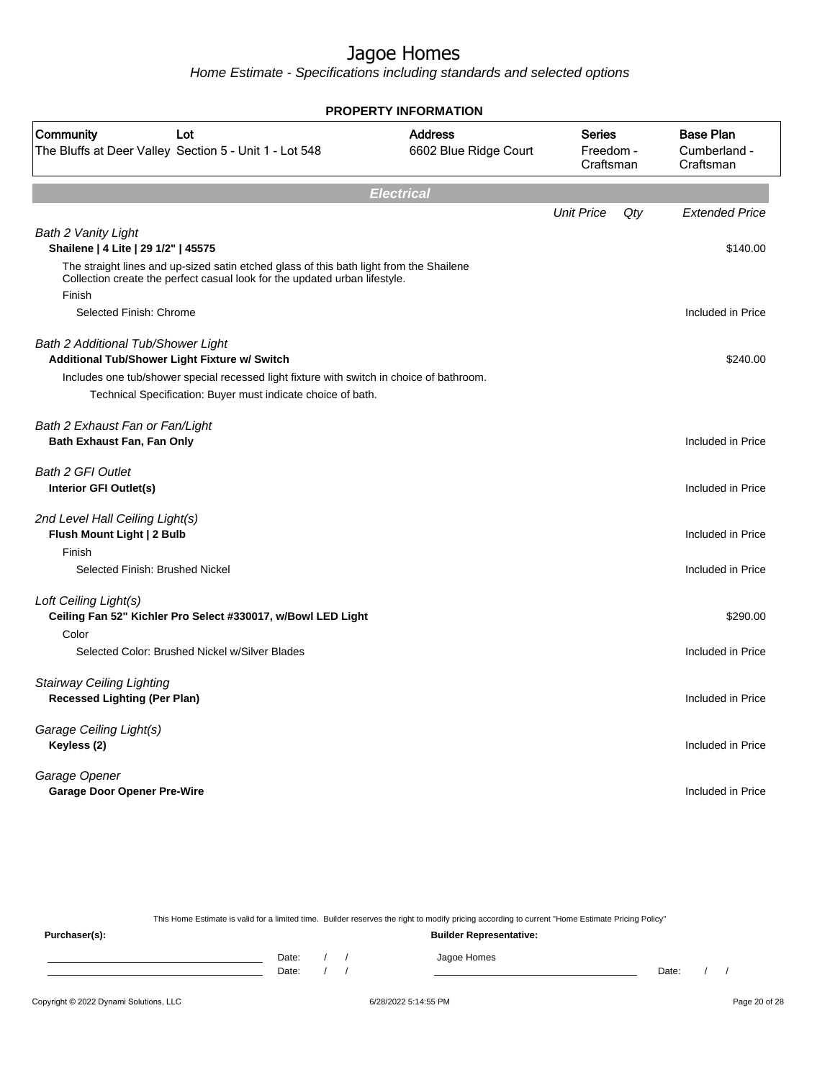Home Estimate - Specifications including standards and selected options

|                                                                                                                                                                                 | <b>PROPERTY INFORMATION</b>             |                                  |                                               |
|---------------------------------------------------------------------------------------------------------------------------------------------------------------------------------|-----------------------------------------|----------------------------------|-----------------------------------------------|
| Community<br>Lot<br>The Bluffs at Deer Valley Section 5 - Unit 1 - Lot 548                                                                                                      | <b>Address</b><br>6602 Blue Ridge Court | Series<br>Freedom -<br>Craftsman | <b>Base Plan</b><br>Cumberland -<br>Craftsman |
|                                                                                                                                                                                 | <b>Electrical</b>                       |                                  |                                               |
| <b>Bath 2 Vanity Light</b>                                                                                                                                                      |                                         | <b>Unit Price</b>                | Qty<br><b>Extended Price</b>                  |
| Shailene   4 Lite   29 1/2"   45575                                                                                                                                             |                                         |                                  | \$140.00                                      |
| The straight lines and up-sized satin etched glass of this bath light from the Shailene<br>Collection create the perfect casual look for the updated urban lifestyle.<br>Finish |                                         |                                  |                                               |
| Selected Finish: Chrome                                                                                                                                                         |                                         |                                  | Included in Price                             |
| Bath 2 Additional Tub/Shower Light<br>Additional Tub/Shower Light Fixture w/ Switch                                                                                             |                                         |                                  | \$240.00                                      |
| Includes one tub/shower special recessed light fixture with switch in choice of bathroom.<br>Technical Specification: Buyer must indicate choice of bath.                       |                                         |                                  |                                               |
|                                                                                                                                                                                 |                                         |                                  |                                               |
| Bath 2 Exhaust Fan or Fan/Light<br>Bath Exhaust Fan, Fan Only                                                                                                                   |                                         |                                  | Included in Price                             |
| <b>Bath 2 GFI Outlet</b><br>Interior GFI Outlet(s)                                                                                                                              |                                         |                                  | Included in Price                             |
| 2nd Level Hall Ceiling Light(s)<br>Flush Mount Light   2 Bulb<br>Finish                                                                                                         |                                         |                                  | Included in Price                             |
| Selected Finish: Brushed Nickel                                                                                                                                                 |                                         |                                  | Included in Price                             |
| Loft Ceiling Light(s)<br>Ceiling Fan 52" Kichler Pro Select #330017, w/Bowl LED Light                                                                                           |                                         |                                  | \$290.00                                      |
| Color<br>Selected Color: Brushed Nickel w/Silver Blades                                                                                                                         |                                         |                                  | Included in Price                             |
| <b>Stairway Ceiling Lighting</b><br><b>Recessed Lighting (Per Plan)</b>                                                                                                         |                                         |                                  | Included in Price                             |
| Garage Ceiling Light(s)<br>Keyless (2)                                                                                                                                          |                                         |                                  | Included in Price                             |
| Garage Opener<br><b>Garage Door Opener Pre-Wire</b>                                                                                                                             |                                         |                                  | Included in Price                             |

Copyright © 2022 Dynami Solutions, LLC <br>
6/28/2022 5:14:55 PM example and the Copyright © 2022 Dynami Solutions, LLC This Home Estimate is valid for a limited time. Builder reserves the right to modify pricing according to current "Home Estimate Pricing Policy" **Purchaser(s): Builder Representative:** Date: / / Jagoe Homes<br>Date: / / Jagoe Homes Date: / / **Date: / / 2006** Date: / / / Date: / / /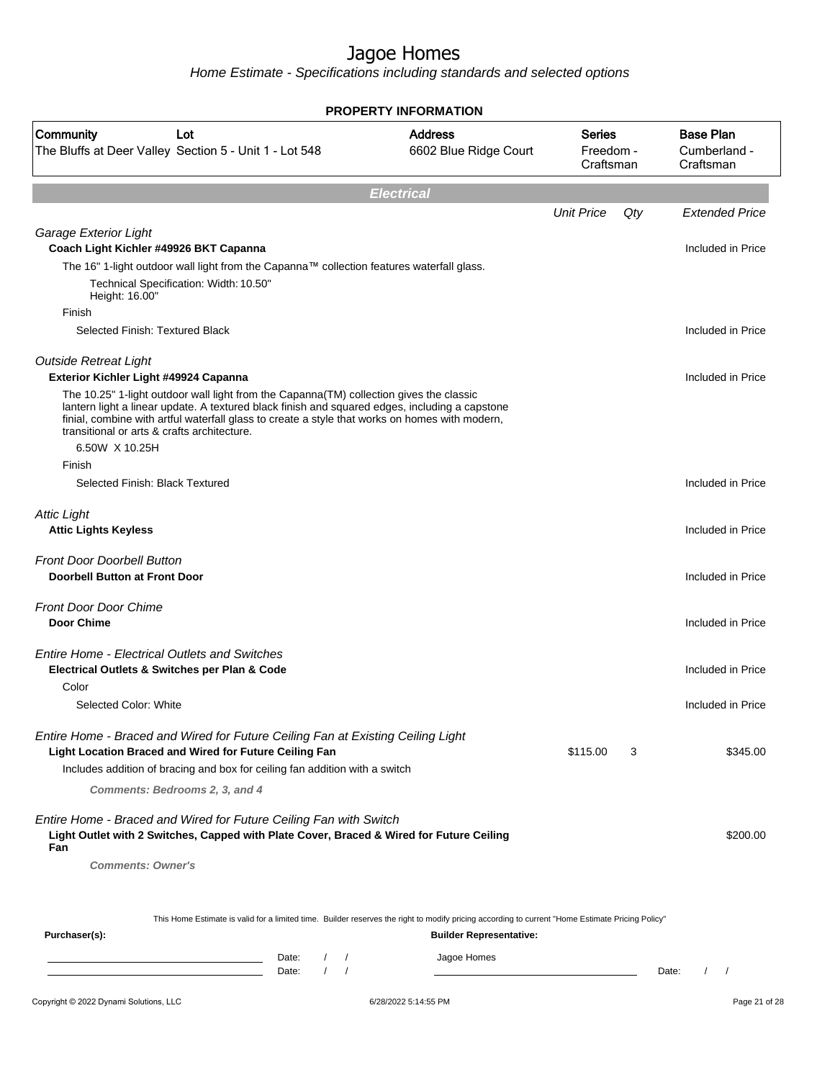|                                                                                                                                                                                                                                                                                                                                            | <b>PROPERTY INFORMATION</b>             |                                         |     |                                               |
|--------------------------------------------------------------------------------------------------------------------------------------------------------------------------------------------------------------------------------------------------------------------------------------------------------------------------------------------|-----------------------------------------|-----------------------------------------|-----|-----------------------------------------------|
| Community<br>Lot<br>The Bluffs at Deer Valley Section 5 - Unit 1 - Lot 548                                                                                                                                                                                                                                                                 | <b>Address</b><br>6602 Blue Ridge Court | <b>Series</b><br>Freedom -<br>Craftsman |     | <b>Base Plan</b><br>Cumberland -<br>Craftsman |
|                                                                                                                                                                                                                                                                                                                                            | <b>Electrical</b>                       |                                         |     |                                               |
|                                                                                                                                                                                                                                                                                                                                            |                                         | <b>Unit Price</b>                       | Qty | <b>Extended Price</b>                         |
| Garage Exterior Light<br>Coach Light Kichler #49926 BKT Capanna                                                                                                                                                                                                                                                                            |                                         |                                         |     | Included in Price                             |
| The 16" 1-light outdoor wall light from the Capanna™ collection features waterfall glass.                                                                                                                                                                                                                                                  |                                         |                                         |     |                                               |
| Technical Specification: Width: 10.50"<br>Height: 16.00"                                                                                                                                                                                                                                                                                   |                                         |                                         |     |                                               |
| Finish                                                                                                                                                                                                                                                                                                                                     |                                         |                                         |     |                                               |
| Selected Finish: Textured Black                                                                                                                                                                                                                                                                                                            |                                         |                                         |     | Included in Price                             |
| <b>Outside Retreat Light</b><br>Exterior Kichler Light #49924 Capanna                                                                                                                                                                                                                                                                      |                                         |                                         |     | Included in Price                             |
| The 10.25" 1-light outdoor wall light from the Capanna(TM) collection gives the classic<br>lantern light a linear update. A textured black finish and squared edges, including a capstone<br>finial, combine with artful waterfall glass to create a style that works on homes with modern,<br>transitional or arts & crafts architecture. |                                         |                                         |     |                                               |
| 6.50W X 10.25H<br>Finish                                                                                                                                                                                                                                                                                                                   |                                         |                                         |     |                                               |
| Selected Finish: Black Textured                                                                                                                                                                                                                                                                                                            |                                         |                                         |     | Included in Price                             |
| <b>Attic Light</b><br><b>Attic Lights Keyless</b>                                                                                                                                                                                                                                                                                          |                                         |                                         |     | Included in Price                             |
| <b>Front Door Doorbell Button</b><br><b>Doorbell Button at Front Door</b>                                                                                                                                                                                                                                                                  |                                         |                                         |     | Included in Price                             |
| <b>Front Door Door Chime</b><br><b>Door Chime</b>                                                                                                                                                                                                                                                                                          |                                         |                                         |     | Included in Price                             |
| <b>Entire Home - Electrical Outlets and Switches</b><br>Electrical Outlets & Switches per Plan & Code                                                                                                                                                                                                                                      |                                         |                                         |     | Included in Price                             |
| Color                                                                                                                                                                                                                                                                                                                                      |                                         |                                         |     |                                               |
| Selected Color: White                                                                                                                                                                                                                                                                                                                      |                                         |                                         |     | Included in Price                             |
| Entire Home - Braced and Wired for Future Ceiling Fan at Existing Ceiling Light<br>Light Location Braced and Wired for Future Ceiling Fan                                                                                                                                                                                                  |                                         | \$115.00                                | 3   | \$345.00                                      |
| Includes addition of bracing and box for ceiling fan addition with a switch                                                                                                                                                                                                                                                                |                                         |                                         |     |                                               |
| Comments: Bedrooms 2, 3, and 4                                                                                                                                                                                                                                                                                                             |                                         |                                         |     |                                               |
| Entire Home - Braced and Wired for Future Ceiling Fan with Switch<br>Light Outlet with 2 Switches, Capped with Plate Cover, Braced & Wired for Future Ceiling<br>Fan                                                                                                                                                                       |                                         |                                         |     | \$200.00                                      |
| <b>Comments: Owner's</b>                                                                                                                                                                                                                                                                                                                   |                                         |                                         |     |                                               |
| This Home Estimate is valid for a limited time. Builder reserves the right to modify pricing according to current "Home Estimate Pricing Policy"                                                                                                                                                                                           |                                         |                                         |     |                                               |
| Purchaser(s):                                                                                                                                                                                                                                                                                                                              | <b>Builder Representative:</b>          |                                         |     |                                               |
| Date:<br>$\sqrt{ }$                                                                                                                                                                                                                                                                                                                        | Jagoe Homes                             |                                         |     |                                               |
| $\left  \right $<br>Date:                                                                                                                                                                                                                                                                                                                  |                                         |                                         |     | $1 \quad 1$<br>Date:                          |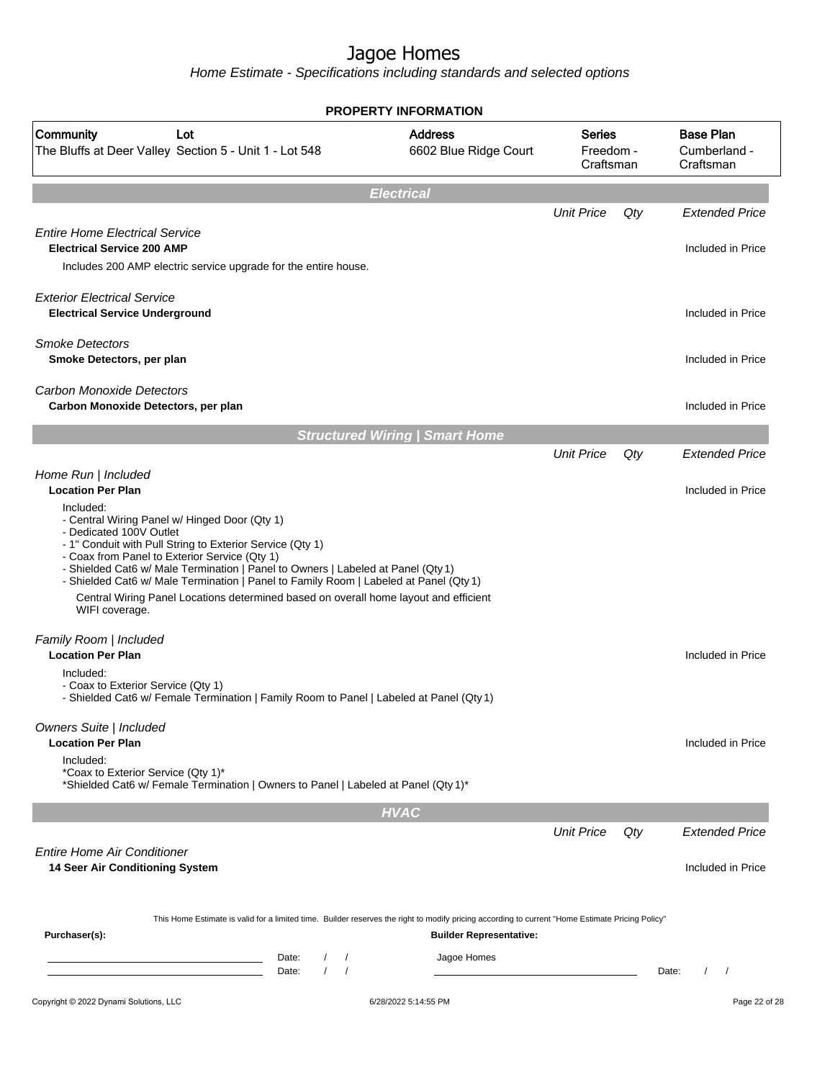|                                                                                                                                                                                                                                                                                                                                                                                                                                                                                            | <b>PROPERTY INFORMATION</b>             |                                         |       |                                               |
|--------------------------------------------------------------------------------------------------------------------------------------------------------------------------------------------------------------------------------------------------------------------------------------------------------------------------------------------------------------------------------------------------------------------------------------------------------------------------------------------|-----------------------------------------|-----------------------------------------|-------|-----------------------------------------------|
| Community<br>Lot<br>The Bluffs at Deer Valley Section 5 - Unit 1 - Lot 548                                                                                                                                                                                                                                                                                                                                                                                                                 | <b>Address</b><br>6602 Blue Ridge Court | <b>Series</b><br>Freedom -<br>Craftsman |       | <b>Base Plan</b><br>Cumberland -<br>Craftsman |
|                                                                                                                                                                                                                                                                                                                                                                                                                                                                                            | <b>Electrical</b>                       |                                         |       |                                               |
|                                                                                                                                                                                                                                                                                                                                                                                                                                                                                            |                                         | <b>Unit Price</b>                       | Qty   | <b>Extended Price</b>                         |
| <b>Entire Home Electrical Service</b><br><b>Electrical Service 200 AMP</b><br>Includes 200 AMP electric service upgrade for the entire house.                                                                                                                                                                                                                                                                                                                                              |                                         |                                         |       | Included in Price                             |
| <b>Exterior Electrical Service</b><br><b>Electrical Service Underground</b>                                                                                                                                                                                                                                                                                                                                                                                                                |                                         |                                         |       | Included in Price                             |
| <b>Smoke Detectors</b><br>Smoke Detectors, per plan                                                                                                                                                                                                                                                                                                                                                                                                                                        |                                         |                                         |       | Included in Price                             |
| <b>Carbon Monoxide Detectors</b><br>Carbon Monoxide Detectors, per plan                                                                                                                                                                                                                                                                                                                                                                                                                    |                                         |                                         |       | Included in Price                             |
|                                                                                                                                                                                                                                                                                                                                                                                                                                                                                            | <b>Structured Wiring   Smart Home</b>   |                                         |       |                                               |
|                                                                                                                                                                                                                                                                                                                                                                                                                                                                                            |                                         | <b>Unit Price</b>                       | Qty   | <b>Extended Price</b>                         |
| Home Run   Included<br><b>Location Per Plan</b>                                                                                                                                                                                                                                                                                                                                                                                                                                            |                                         |                                         |       | Included in Price                             |
| Included:<br>- Central Wiring Panel w/ Hinged Door (Qty 1)<br>- Dedicated 100V Outlet<br>- 1" Conduit with Pull String to Exterior Service (Qty 1)<br>- Coax from Panel to Exterior Service (Qty 1)<br>- Shielded Cat6 w/ Male Termination   Panel to Owners   Labeled at Panel (Qty 1)<br>- Shielded Cat6 w/ Male Termination   Panel to Family Room   Labeled at Panel (Qty 1)<br>Central Wiring Panel Locations determined based on overall home layout and efficient<br>WIFI coverage. |                                         |                                         |       |                                               |
| Family Room   Included                                                                                                                                                                                                                                                                                                                                                                                                                                                                     |                                         |                                         |       |                                               |
| <b>Location Per Plan</b><br>Included:<br>- Coax to Exterior Service (Qty 1)<br>- Shielded Cat6 w/ Female Termination   Family Room to Panel   Labeled at Panel (Qty 1)                                                                                                                                                                                                                                                                                                                     |                                         |                                         |       | Included in Price                             |
| Owners Suite   Included<br><b>Location Per Plan</b><br>Included:                                                                                                                                                                                                                                                                                                                                                                                                                           |                                         |                                         |       | Included in Price                             |
| *Coax to Exterior Service (Qty 1)*<br>*Shielded Cat6 w/ Female Termination   Owners to Panel   Labeled at Panel (Qty 1)*                                                                                                                                                                                                                                                                                                                                                                   |                                         |                                         |       |                                               |
|                                                                                                                                                                                                                                                                                                                                                                                                                                                                                            | <b>HVAC</b>                             |                                         |       |                                               |
| <b>Entire Home Air Conditioner</b>                                                                                                                                                                                                                                                                                                                                                                                                                                                         |                                         | <b>Unit Price</b>                       | Qty   | <b>Extended Price</b>                         |
| 14 Seer Air Conditioning System<br>This Home Estimate is valid for a limited time. Builder reserves the right to modify pricing according to current "Home Estimate Pricing Policy"<br>Purchaser(s):                                                                                                                                                                                                                                                                                       | <b>Builder Representative:</b>          |                                         |       | Included in Price                             |
| Date:<br>$\sqrt{ }$<br>the control of the control of the control of the control of<br>$\prime$<br>Date:<br>$\prime$                                                                                                                                                                                                                                                                                                                                                                        | Jagoe Homes                             |                                         | Date: | $\prime$<br>$\prime$                          |
| Copyright © 2022 Dynami Solutions, LLC                                                                                                                                                                                                                                                                                                                                                                                                                                                     | 6/28/2022 5:14:55 PM                    |                                         |       | Page 22 of 28                                 |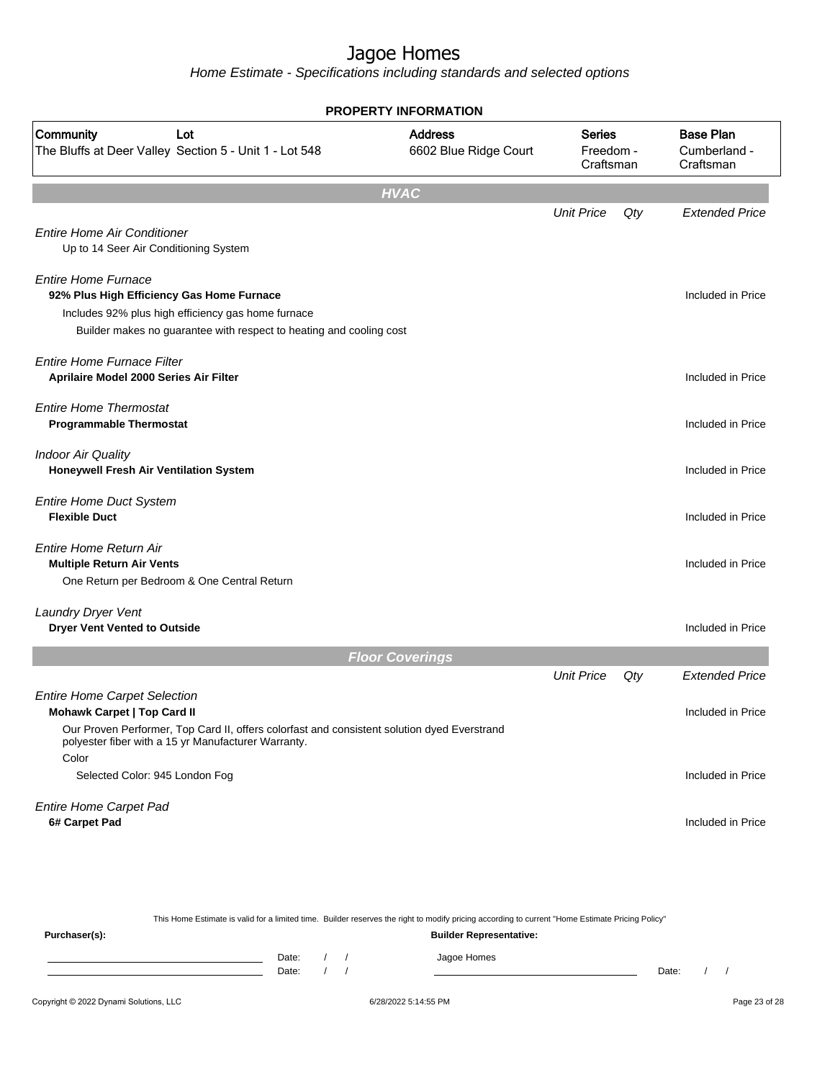|                                                                                             | <b>PROPERTY INFORMATION</b>             |                                         |     |                                               |
|---------------------------------------------------------------------------------------------|-----------------------------------------|-----------------------------------------|-----|-----------------------------------------------|
| Community<br>Lot<br>The Bluffs at Deer Valley Section 5 - Unit 1 - Lot 548                  | <b>Address</b><br>6602 Blue Ridge Court | <b>Series</b><br>Freedom -<br>Craftsman |     | <b>Base Plan</b><br>Cumberland -<br>Craftsman |
|                                                                                             | <b>HVAC</b>                             |                                         |     |                                               |
|                                                                                             |                                         | <b>Unit Price</b>                       | Qty | <b>Extended Price</b>                         |
| <b>Entire Home Air Conditioner</b><br>Up to 14 Seer Air Conditioning System                 |                                         |                                         |     |                                               |
| <b>Entire Home Furnace</b><br>92% Plus High Efficiency Gas Home Furnace                     |                                         |                                         |     | Included in Price                             |
| Includes 92% plus high efficiency gas home furnace                                          |                                         |                                         |     |                                               |
| Builder makes no guarantee with respect to heating and cooling cost                         |                                         |                                         |     |                                               |
|                                                                                             |                                         |                                         |     |                                               |
| Entire Home Furnace Filter<br>Aprilaire Model 2000 Series Air Filter                        |                                         |                                         |     | Included in Price                             |
|                                                                                             |                                         |                                         |     |                                               |
| <b>Entire Home Thermostat</b>                                                               |                                         |                                         |     |                                               |
| <b>Programmable Thermostat</b>                                                              |                                         |                                         |     | Included in Price                             |
| <b>Indoor Air Quality</b>                                                                   |                                         |                                         |     |                                               |
| Honeywell Fresh Air Ventilation System                                                      |                                         |                                         |     | Included in Price                             |
|                                                                                             |                                         |                                         |     |                                               |
| <b>Entire Home Duct System</b><br><b>Flexible Duct</b>                                      |                                         |                                         |     | Included in Price                             |
|                                                                                             |                                         |                                         |     |                                               |
| <b>Entire Home Return Air</b>                                                               |                                         |                                         |     |                                               |
| <b>Multiple Return Air Vents</b>                                                            |                                         |                                         |     | Included in Price                             |
| One Return per Bedroom & One Central Return                                                 |                                         |                                         |     |                                               |
| Laundry Dryer Vent                                                                          |                                         |                                         |     |                                               |
| <b>Dryer Vent Vented to Outside</b>                                                         |                                         |                                         |     | Included in Price                             |
|                                                                                             | <b>Floor Coverings</b>                  |                                         |     |                                               |
|                                                                                             |                                         | <b>Unit Price</b>                       | Qty | <b>Extended Price</b>                         |
| <b>Entire Home Carpet Selection</b>                                                         |                                         |                                         |     |                                               |
| <b>Mohawk Carpet   Top Card II</b>                                                          |                                         |                                         |     | Included in Price                             |
| Our Proven Performer, Top Card II, offers colorfast and consistent solution dyed Everstrand |                                         |                                         |     |                                               |
| polyester fiber with a 15 yr Manufacturer Warranty.                                         |                                         |                                         |     |                                               |
| Color                                                                                       |                                         |                                         |     | Included in Price                             |
| Selected Color: 945 London Fog                                                              |                                         |                                         |     |                                               |
| <b>Entire Home Carpet Pad</b>                                                               |                                         |                                         |     |                                               |
| 6# Carpet Pad                                                                               |                                         |                                         |     | Included in Price                             |
|                                                                                             |                                         |                                         |     |                                               |
|                                                                                             |                                         |                                         |     |                                               |

|               |  |       |                                | This Home Estimate is valid for a limited time. Builder reserves the right to modify pricing according to current "Home Estimate Pricing Policy" |       |  |
|---------------|--|-------|--------------------------------|--------------------------------------------------------------------------------------------------------------------------------------------------|-------|--|
| Purchaser(s): |  |       | <b>Builder Representative:</b> |                                                                                                                                                  |       |  |
|               |  | Date: |                                | Jagoe Homes                                                                                                                                      |       |  |
|               |  | Date: |                                |                                                                                                                                                  | Date: |  |
|               |  |       |                                |                                                                                                                                                  |       |  |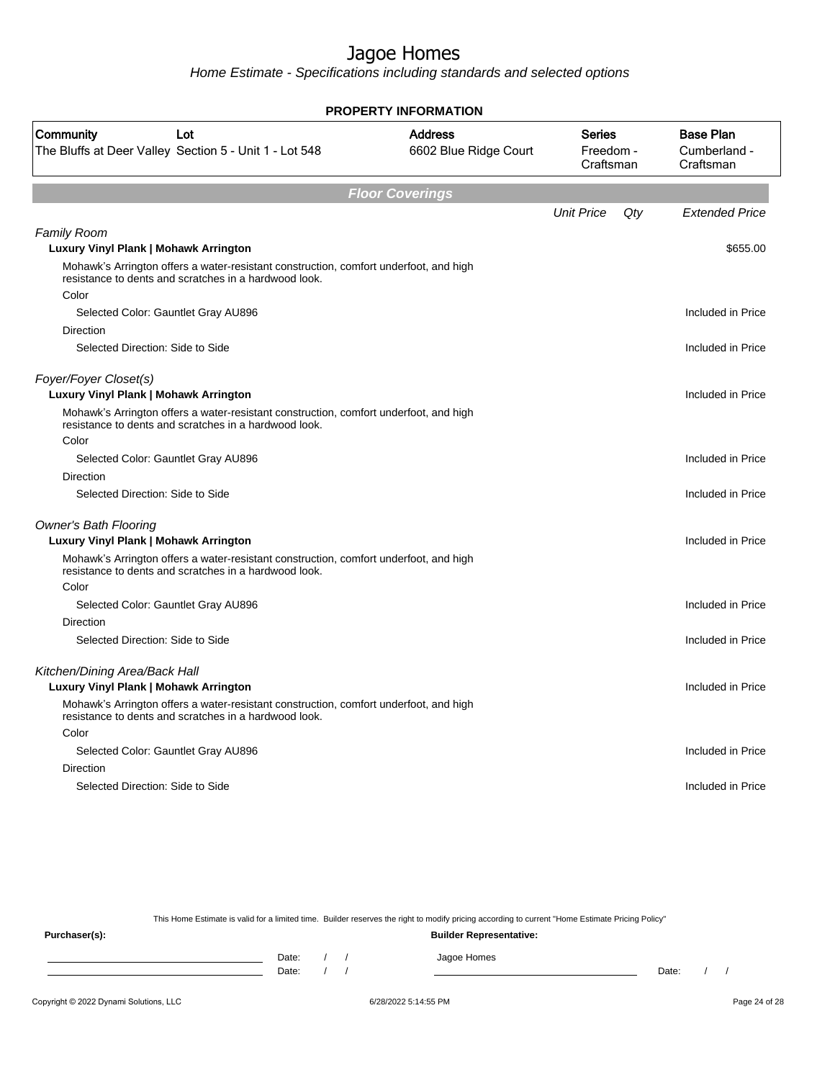Home Estimate - Specifications including standards and selected options

|                                                                                                                                                | <b>PROPERTY INFORMATION</b>             |                                         |     |                                               |
|------------------------------------------------------------------------------------------------------------------------------------------------|-----------------------------------------|-----------------------------------------|-----|-----------------------------------------------|
| Community<br>Lot<br>The Bluffs at Deer Valley Section 5 - Unit 1 - Lot 548                                                                     | <b>Address</b><br>6602 Blue Ridge Court | <b>Series</b><br>Freedom -<br>Craftsman |     | <b>Base Plan</b><br>Cumberland -<br>Craftsman |
|                                                                                                                                                | <b>Floor Coverings</b>                  |                                         |     |                                               |
|                                                                                                                                                |                                         | <b>Unit Price</b>                       | Qty | <b>Extended Price</b>                         |
| <b>Family Room</b>                                                                                                                             |                                         |                                         |     |                                               |
| Luxury Vinyl Plank   Mohawk Arrington                                                                                                          |                                         |                                         |     | \$655.00                                      |
| Mohawk's Arrington offers a water-resistant construction, comfort underfoot, and high<br>resistance to dents and scratches in a hardwood look. |                                         |                                         |     |                                               |
| Color                                                                                                                                          |                                         |                                         |     |                                               |
| Selected Color: Gauntlet Gray AU896                                                                                                            |                                         |                                         |     | Included in Price                             |
| <b>Direction</b>                                                                                                                               |                                         |                                         |     |                                               |
| Selected Direction: Side to Side                                                                                                               |                                         |                                         |     | Included in Price                             |
| Foyer/Foyer Closet(s)<br>Luxury Vinyl Plank   Mohawk Arrington                                                                                 |                                         |                                         |     | Included in Price                             |
| Mohawk's Arrington offers a water-resistant construction, comfort underfoot, and high<br>resistance to dents and scratches in a hardwood look. |                                         |                                         |     |                                               |
| Color                                                                                                                                          |                                         |                                         |     |                                               |
| Selected Color: Gauntlet Gray AU896                                                                                                            |                                         |                                         |     | Included in Price                             |
| <b>Direction</b>                                                                                                                               |                                         |                                         |     |                                               |
| Selected Direction: Side to Side                                                                                                               |                                         |                                         |     | Included in Price                             |
| <b>Owner's Bath Flooring</b>                                                                                                                   |                                         |                                         |     |                                               |
| Luxury Vinyl Plank   Mohawk Arrington                                                                                                          |                                         |                                         |     | Included in Price                             |
| Mohawk's Arrington offers a water-resistant construction, comfort underfoot, and high<br>resistance to dents and scratches in a hardwood look. |                                         |                                         |     |                                               |
| Color                                                                                                                                          |                                         |                                         |     |                                               |
| Selected Color: Gauntlet Gray AU896                                                                                                            |                                         |                                         |     | Included in Price                             |
| Direction                                                                                                                                      |                                         |                                         |     |                                               |
| Selected Direction: Side to Side                                                                                                               |                                         |                                         |     | Included in Price                             |
| Kitchen/Dining Area/Back Hall                                                                                                                  |                                         |                                         |     |                                               |
| Luxury Vinyl Plank   Mohawk Arrington                                                                                                          |                                         |                                         |     | Included in Price                             |
| Mohawk's Arrington offers a water-resistant construction, comfort underfoot, and high<br>resistance to dents and scratches in a hardwood look. |                                         |                                         |     |                                               |
| Color                                                                                                                                          |                                         |                                         |     |                                               |
| Selected Color: Gauntlet Gray AU896                                                                                                            |                                         |                                         |     | Included in Price                             |
| Direction                                                                                                                                      |                                         |                                         |     |                                               |
| Selected Direction: Side to Side                                                                                                               |                                         |                                         |     | Included in Price                             |
|                                                                                                                                                |                                         |                                         |     |                                               |

This Home Estimate is valid for a limited time. Builder reserves the right to modify pricing according to current "Home Estimate Pricing Policy"

**Purchaser(s): Builder Representative:** Date: / / Jagoe Homes<br>Date: / / Jagoe Homes Date: / / **Date: / / 2006** Date: / / / Date: / / /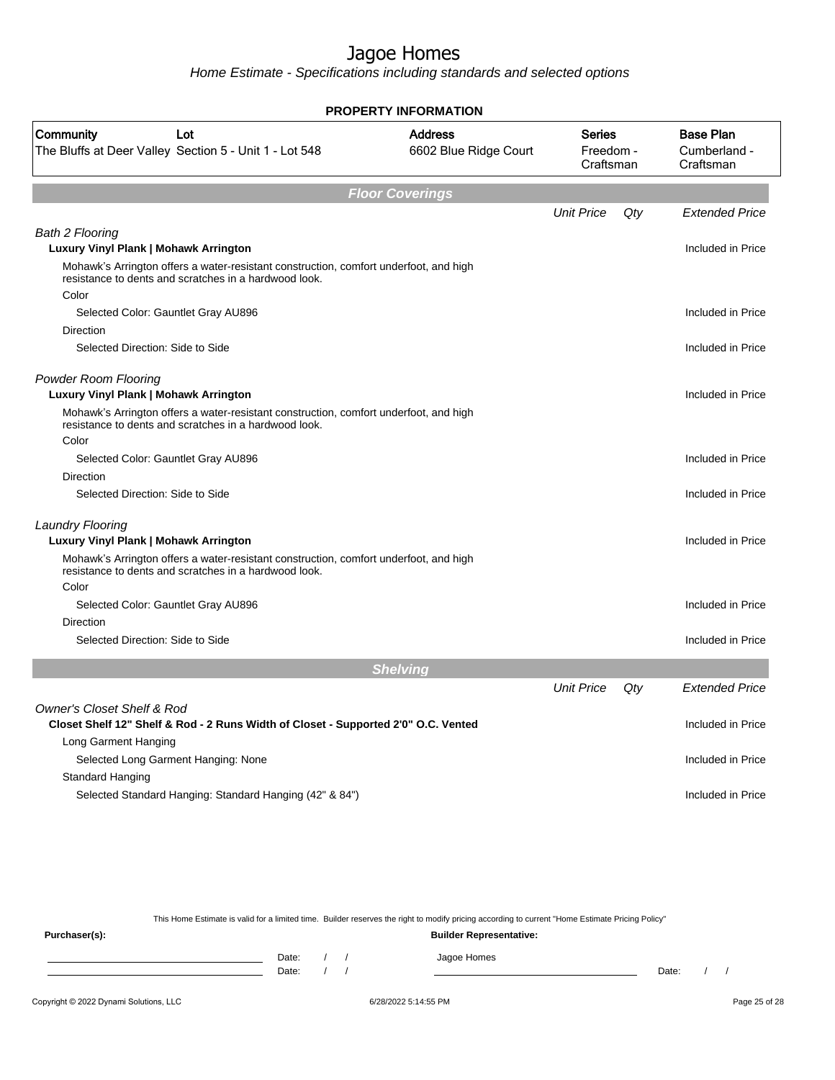Home Estimate - Specifications including standards and selected options

|                                                                                                                                                         | <b>PROPERTY INFORMATION</b>             |                                         |     |                                               |
|---------------------------------------------------------------------------------------------------------------------------------------------------------|-----------------------------------------|-----------------------------------------|-----|-----------------------------------------------|
| Community<br>Lot<br>The Bluffs at Deer Valley Section 5 - Unit 1 - Lot 548                                                                              | <b>Address</b><br>6602 Blue Ridge Court | <b>Series</b><br>Freedom -<br>Craftsman |     | <b>Base Plan</b><br>Cumberland -<br>Craftsman |
|                                                                                                                                                         | <b>Floor Coverings</b>                  |                                         |     |                                               |
|                                                                                                                                                         |                                         | <b>Unit Price</b>                       | Qty | <b>Extended Price</b>                         |
| <b>Bath 2 Flooring</b>                                                                                                                                  |                                         |                                         |     |                                               |
| Luxury Vinyl Plank   Mohawk Arrington                                                                                                                   |                                         |                                         |     | Included in Price                             |
| Mohawk's Arrington offers a water-resistant construction, comfort underfoot, and high<br>resistance to dents and scratches in a hardwood look.<br>Color |                                         |                                         |     |                                               |
| Selected Color: Gauntlet Gray AU896                                                                                                                     |                                         |                                         |     | Included in Price                             |
| Direction                                                                                                                                               |                                         |                                         |     |                                               |
| Selected Direction: Side to Side                                                                                                                        |                                         |                                         |     | Included in Price                             |
| <b>Powder Room Flooring</b><br>Luxury Vinyl Plank   Mohawk Arrington                                                                                    |                                         |                                         |     | Included in Price                             |
| Mohawk's Arrington offers a water-resistant construction, comfort underfoot, and high<br>resistance to dents and scratches in a hardwood look.          |                                         |                                         |     |                                               |
| Color                                                                                                                                                   |                                         |                                         |     |                                               |
| Selected Color: Gauntlet Gray AU896                                                                                                                     |                                         |                                         |     | Included in Price                             |
| <b>Direction</b>                                                                                                                                        |                                         |                                         |     |                                               |
| Selected Direction: Side to Side                                                                                                                        |                                         |                                         |     | Included in Price                             |
| <b>Laundry Flooring</b><br>Luxury Vinyl Plank   Mohawk Arrington                                                                                        |                                         |                                         |     | Included in Price                             |
| Mohawk's Arrington offers a water-resistant construction, comfort underfoot, and high<br>resistance to dents and scratches in a hardwood look.          |                                         |                                         |     |                                               |
| Color                                                                                                                                                   |                                         |                                         |     |                                               |
| Selected Color: Gauntlet Gray AU896                                                                                                                     |                                         |                                         |     | Included in Price                             |
| <b>Direction</b>                                                                                                                                        |                                         |                                         |     |                                               |
| Selected Direction: Side to Side                                                                                                                        |                                         |                                         |     | Included in Price                             |
|                                                                                                                                                         | <b>Shelving</b>                         |                                         |     |                                               |
|                                                                                                                                                         |                                         | <b>Unit Price</b>                       | Qty | <b>Extended Price</b>                         |
| <b>Owner's Closet Shelf &amp; Rod</b>                                                                                                                   |                                         |                                         |     |                                               |
| Closet Shelf 12" Shelf & Rod - 2 Runs Width of Closet - Supported 2'0" O.C. Vented                                                                      |                                         |                                         |     | Included in Price                             |
| Long Garment Hanging                                                                                                                                    |                                         |                                         |     |                                               |
| Selected Long Garment Hanging: None                                                                                                                     |                                         |                                         |     | Included in Price                             |
| <b>Standard Hanging</b>                                                                                                                                 |                                         |                                         |     |                                               |
| Selected Standard Hanging: Standard Hanging (42" & 84")                                                                                                 |                                         |                                         |     | Included in Price                             |

This Home Estimate is valid for a limited time. Builder reserves the right to modify pricing according to current "Home Estimate Pricing Policy"

**Purchaser(s): Builder Representative:** Date: / / Jagoe Homes<br>Date: / / Jagoe Homes Date: / / Date: / /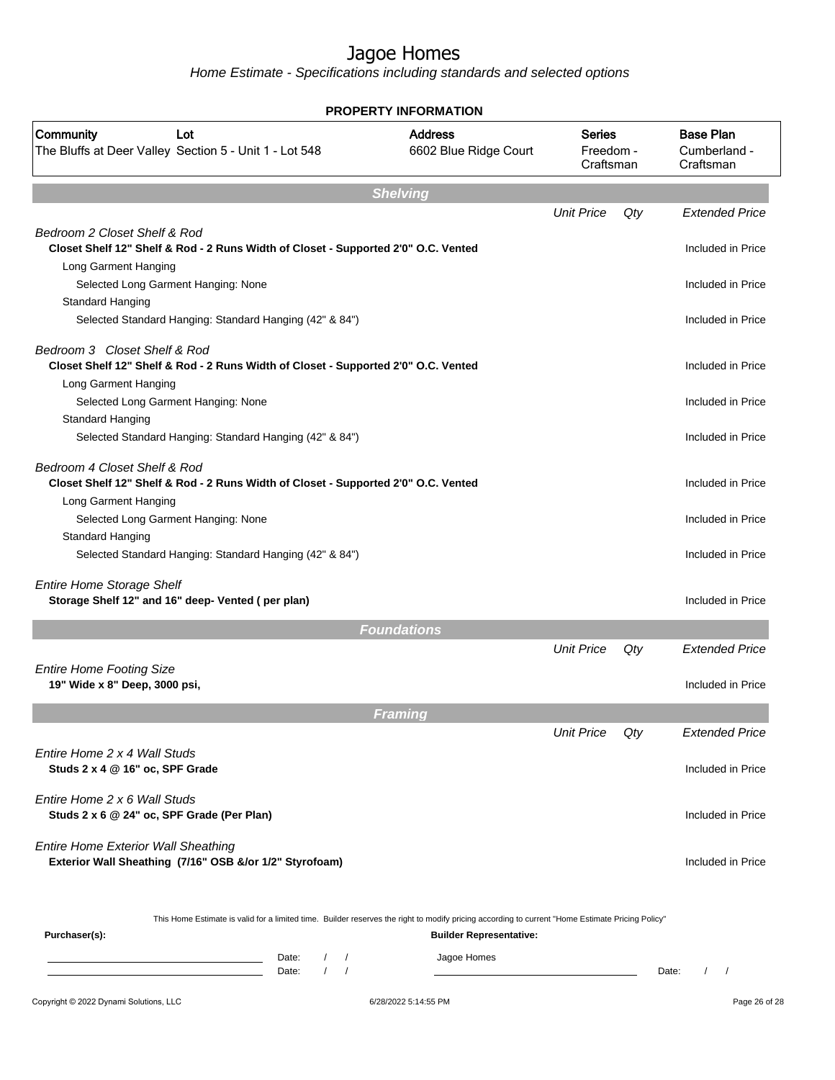|                                                                                                                                                                   | <b>PROPERTY INFORMATION</b>             |                                         |     |                                               |
|-------------------------------------------------------------------------------------------------------------------------------------------------------------------|-----------------------------------------|-----------------------------------------|-----|-----------------------------------------------|
| Community<br>Lot<br>The Bluffs at Deer Valley Section 5 - Unit 1 - Lot 548                                                                                        | <b>Address</b><br>6602 Blue Ridge Court | <b>Series</b><br>Freedom -<br>Craftsman |     | <b>Base Plan</b><br>Cumberland -<br>Craftsman |
|                                                                                                                                                                   | <b>Shelving</b>                         |                                         |     |                                               |
|                                                                                                                                                                   |                                         | <b>Unit Price</b>                       | Qty | <b>Extended Price</b>                         |
| Bedroom 2 Closet Shelf & Rod<br>Closet Shelf 12" Shelf & Rod - 2 Runs Width of Closet - Supported 2'0" O.C. Vented                                                |                                         |                                         |     | Included in Price                             |
| Long Garment Hanging<br>Selected Long Garment Hanging: None<br><b>Standard Hanging</b>                                                                            |                                         |                                         |     | Included in Price                             |
| Selected Standard Hanging: Standard Hanging (42" & 84")                                                                                                           |                                         |                                         |     | Included in Price                             |
| Bedroom 3 Closet Shelf & Rod<br>Closet Shelf 12" Shelf & Rod - 2 Runs Width of Closet - Supported 2'0" O.C. Vented<br>Long Garment Hanging                        |                                         |                                         |     | Included in Price                             |
| Selected Long Garment Hanging: None<br><b>Standard Hanging</b>                                                                                                    |                                         |                                         |     | Included in Price                             |
| Selected Standard Hanging: Standard Hanging (42" & 84")                                                                                                           |                                         |                                         |     | Included in Price                             |
| Bedroom 4 Closet Shelf & Rod<br>Closet Shelf 12" Shelf & Rod - 2 Runs Width of Closet - Supported 2'0" O.C. Vented<br>Long Garment Hanging                        |                                         |                                         |     | Included in Price                             |
| Selected Long Garment Hanging: None<br>Standard Hanging                                                                                                           |                                         |                                         |     | Included in Price                             |
| Selected Standard Hanging: Standard Hanging (42" & 84")                                                                                                           |                                         |                                         |     | Included in Price                             |
| <b>Entire Home Storage Shelf</b><br>Storage Shelf 12" and 16" deep- Vented (per plan)                                                                             |                                         |                                         |     | Included in Price                             |
|                                                                                                                                                                   | <b>Foundations</b>                      |                                         |     |                                               |
|                                                                                                                                                                   |                                         | <b>Unit Price</b>                       | Qty | <b>Extended Price</b>                         |
| <b>Entire Home Footing Size</b><br>19" Wide x 8" Deep, 3000 psi,                                                                                                  |                                         |                                         |     | Included in Price                             |
|                                                                                                                                                                   | <b>Framing</b>                          |                                         |     |                                               |
|                                                                                                                                                                   |                                         | <b>Unit Price</b>                       | Qty | Extended Price                                |
| Entire Home 2 x 4 Wall Studs<br>Studs 2 x 4 @ 16" oc, SPF Grade                                                                                                   |                                         |                                         |     | Included in Price                             |
| Entire Home 2 x 6 Wall Studs<br>Studs 2 x 6 @ 24" oc, SPF Grade (Per Plan)                                                                                        |                                         |                                         |     | Included in Price                             |
| <b>Entire Home Exterior Wall Sheathing</b><br>Exterior Wall Sheathing (7/16" OSB &/or 1/2" Styrofoam)                                                             |                                         |                                         |     | Included in Price                             |
| This Home Estimate is valid for a limited time. Builder reserves the right to modify pricing according to current "Home Estimate Pricing Policy"<br>Purchaser(s): | <b>Builder Representative:</b>          |                                         |     |                                               |
| Date:<br>$\sqrt{2}$<br>$\sqrt{ }$                                                                                                                                 | Jagoe Homes                             |                                         |     |                                               |
| $\frac{1}{2}$<br>Date:                                                                                                                                            |                                         |                                         |     | $\sqrt{ }$<br>Date:                           |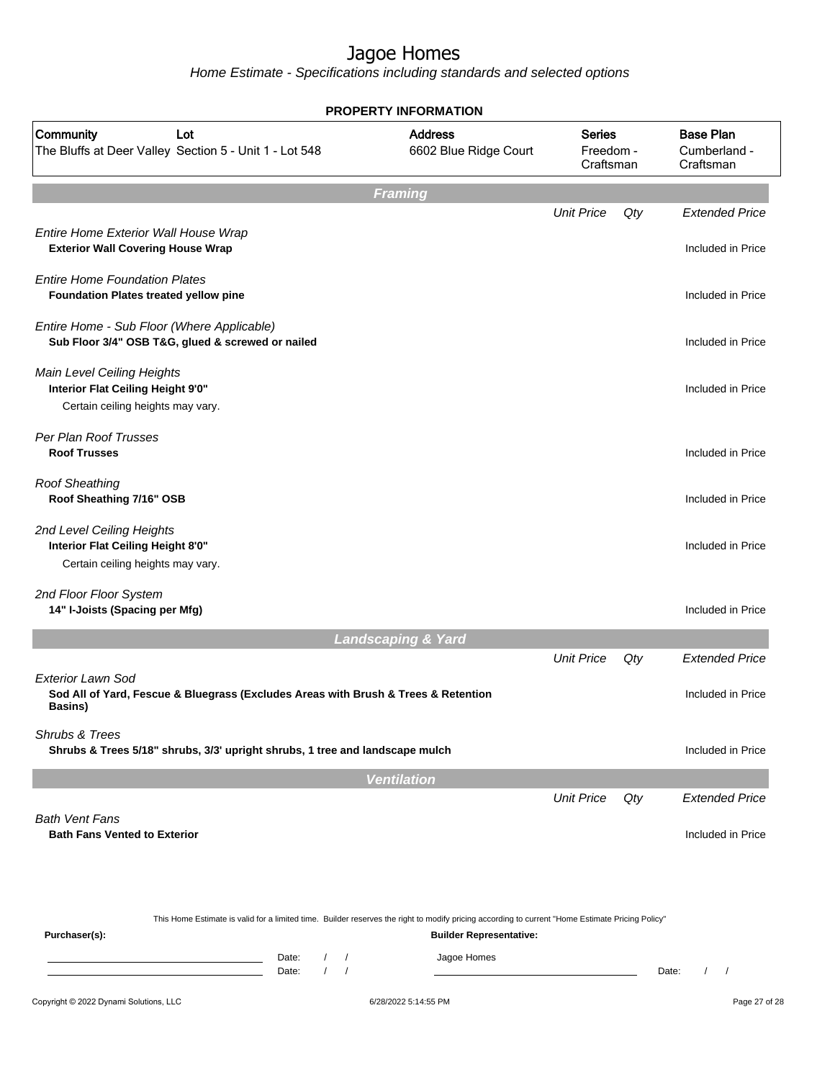|                                                                                                                           |                                          | <b>PROPERTY INFORMATION</b>   |                                                                                                                                                                                    |                                         |     |                                               |  |  |  |  |
|---------------------------------------------------------------------------------------------------------------------------|------------------------------------------|-------------------------------|------------------------------------------------------------------------------------------------------------------------------------------------------------------------------------|-----------------------------------------|-----|-----------------------------------------------|--|--|--|--|
| Community<br>Lot<br>The Bluffs at Deer Valley Section 5 - Unit 1 - Lot 548                                                |                                          |                               | <b>Address</b><br>6602 Blue Ridge Court                                                                                                                                            | <b>Series</b><br>Freedom -<br>Craftsman |     | <b>Base Plan</b><br>Cumberland -<br>Craftsman |  |  |  |  |
| <b>Framing</b>                                                                                                            |                                          |                               |                                                                                                                                                                                    |                                         |     |                                               |  |  |  |  |
|                                                                                                                           |                                          |                               |                                                                                                                                                                                    | <b>Unit Price</b>                       | Qty | <b>Extended Price</b>                         |  |  |  |  |
| Entire Home Exterior Wall House Wrap<br><b>Exterior Wall Covering House Wrap</b>                                          |                                          |                               |                                                                                                                                                                                    |                                         |     | Included in Price                             |  |  |  |  |
| <b>Entire Home Foundation Plates</b><br>Foundation Plates treated yellow pine                                             |                                          |                               |                                                                                                                                                                                    |                                         |     | Included in Price                             |  |  |  |  |
| Entire Home - Sub Floor (Where Applicable)<br>Sub Floor 3/4" OSB T&G, glued & screwed or nailed                           |                                          |                               |                                                                                                                                                                                    |                                         |     | Included in Price                             |  |  |  |  |
| Main Level Ceiling Heights<br>Interior Flat Ceiling Height 9'0"                                                           |                                          |                               |                                                                                                                                                                                    |                                         |     | Included in Price                             |  |  |  |  |
| Certain ceiling heights may vary.                                                                                         |                                          |                               |                                                                                                                                                                                    |                                         |     |                                               |  |  |  |  |
| Per Plan Roof Trusses<br><b>Roof Trusses</b>                                                                              |                                          |                               |                                                                                                                                                                                    |                                         |     | Included in Price                             |  |  |  |  |
| <b>Roof Sheathing</b><br>Roof Sheathing 7/16" OSB                                                                         |                                          |                               |                                                                                                                                                                                    |                                         |     | Included in Price                             |  |  |  |  |
| 2nd Level Ceiling Heights<br>Interior Flat Ceiling Height 8'0"<br>Certain ceiling heights may vary.                       |                                          |                               |                                                                                                                                                                                    |                                         |     | Included in Price                             |  |  |  |  |
| 2nd Floor Floor System<br>14" I-Joists (Spacing per Mfg)                                                                  |                                          |                               |                                                                                                                                                                                    |                                         |     | Included in Price                             |  |  |  |  |
|                                                                                                                           |                                          | <b>Landscaping &amp; Yard</b> |                                                                                                                                                                                    |                                         |     |                                               |  |  |  |  |
|                                                                                                                           |                                          |                               |                                                                                                                                                                                    | <b>Unit Price</b>                       | Qty | <b>Extended Price</b>                         |  |  |  |  |
| <b>Exterior Lawn Sod</b><br>Sod All of Yard, Fescue & Bluegrass (Excludes Areas with Brush & Trees & Retention<br>Basins) |                                          |                               |                                                                                                                                                                                    |                                         |     | Included in Price                             |  |  |  |  |
| Shrubs & Trees<br>Shrubs & Trees 5/18" shrubs, 3/3' upright shrubs, 1 tree and landscape mulch                            |                                          |                               |                                                                                                                                                                                    |                                         |     | Included in Price                             |  |  |  |  |
|                                                                                                                           |                                          | <b>Ventilation</b>            |                                                                                                                                                                                    |                                         |     |                                               |  |  |  |  |
| <b>Bath Vent Fans</b>                                                                                                     |                                          |                               |                                                                                                                                                                                    | <b>Unit Price</b>                       | Qty | <b>Extended Price</b>                         |  |  |  |  |
| <b>Bath Fans Vented to Exterior</b>                                                                                       |                                          |                               |                                                                                                                                                                                    |                                         |     | Included in Price                             |  |  |  |  |
| Purchaser(s):                                                                                                             |                                          |                               | This Home Estimate is valid for a limited time. Builder reserves the right to modify pricing according to current "Home Estimate Pricing Policy"<br><b>Builder Representative:</b> |                                         |     |                                               |  |  |  |  |
| the control of the control of the control of                                                                              | Date:<br>$\sqrt{2}$<br>$\prime$<br>Date: | $\prime$<br>$\prime$          | Jagoe Homes                                                                                                                                                                        |                                         |     | Date:<br>$\prime$<br>$\prime$                 |  |  |  |  |
| Copyright © 2022 Dynami Solutions, LLC                                                                                    |                                          | 6/28/2022 5:14:55 PM          |                                                                                                                                                                                    |                                         |     | Page 27 of 28                                 |  |  |  |  |